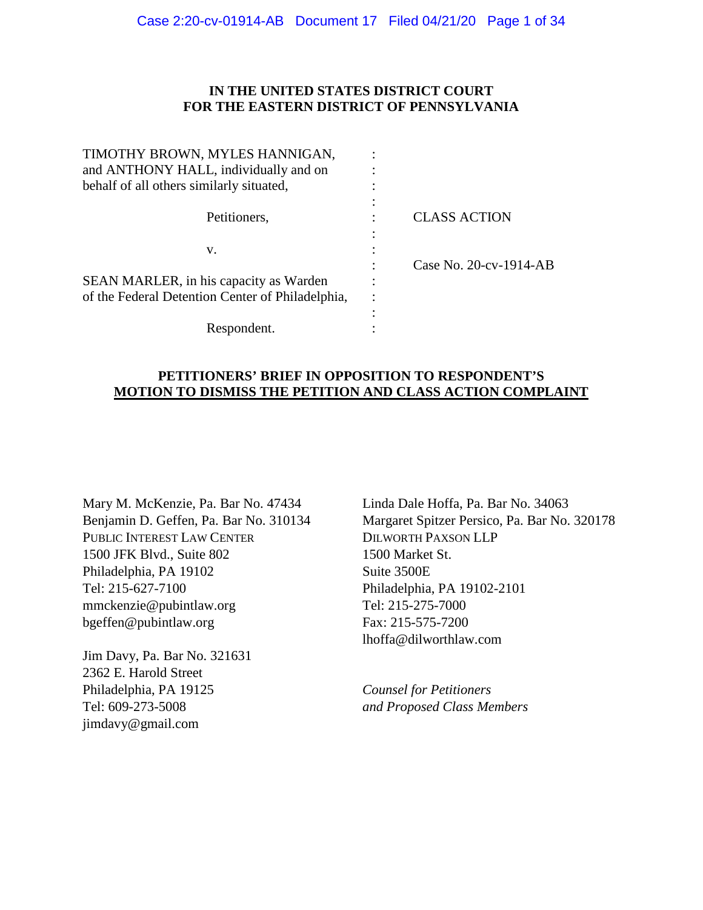### **IN THE UNITED STATES DISTRICT COURT FOR THE EASTERN DISTRICT OF PENNSYLVANIA**

| <b>CLASS ACTION</b>    |
|------------------------|
|                        |
|                        |
| Case No. 20-cv-1914-AB |
|                        |
|                        |
|                        |
|                        |
|                        |

# **PETITIONERS' BRIEF IN OPPOSITION TO RESPONDENT'S MOTION TO DISMISS THE PETITION AND CLASS ACTION COMPLAINT**

Mary M. McKenzie, Pa. Bar No. 47434 Benjamin D. Geffen, Pa. Bar No. 310134 PUBLIC INTEREST LAW CENTER 1500 JFK Blvd., Suite 802 Philadelphia, PA 19102 Tel: 215-627-7100 mmckenzie@pubintlaw.org bgeffen@pubintlaw.org

Jim Davy, Pa. Bar No. 321631 2362 E. Harold Street Philadelphia, PA 19125 Tel: 609-273-5008 jimdavy@gmail.com

Linda Dale Hoffa, Pa. Bar No. 34063 Margaret Spitzer Persico, Pa. Bar No. 320178 DILWORTH PAXSON LLP 1500 Market St. Suite 3500E Philadelphia, PA 19102-2101 Tel: 215-275-7000 Fax: 215-575-7200 lhoffa@dilworthlaw.com

*Counsel for Petitioners and Proposed Class Members*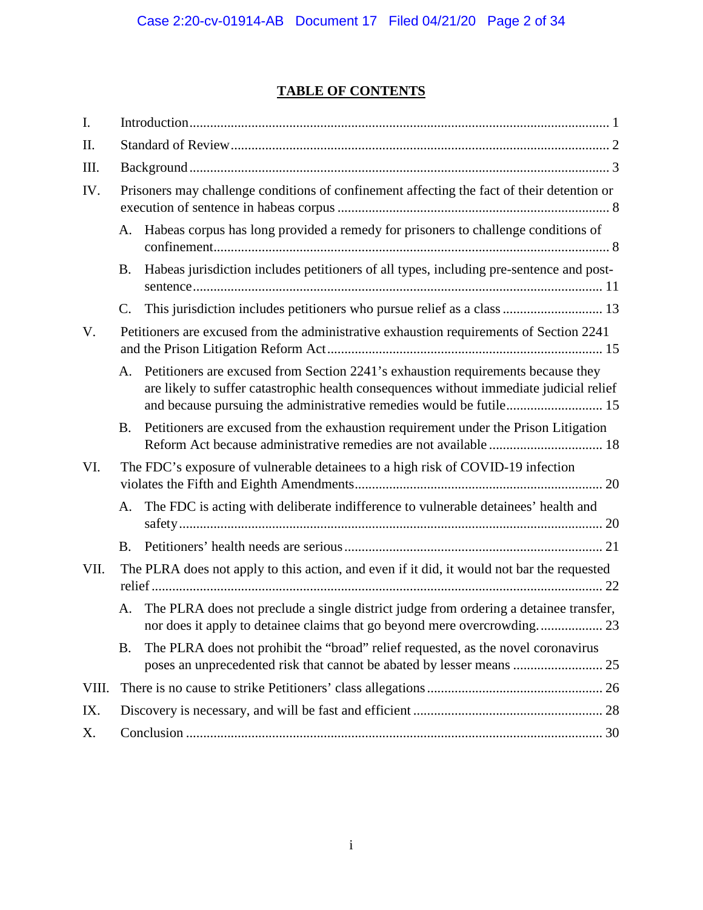# **TABLE OF CONTENTS**

| I.    |                 |                                                                                                                                                                                                                                                    |  |  |  |  |
|-------|-----------------|----------------------------------------------------------------------------------------------------------------------------------------------------------------------------------------------------------------------------------------------------|--|--|--|--|
| II.   |                 |                                                                                                                                                                                                                                                    |  |  |  |  |
| III.  |                 |                                                                                                                                                                                                                                                    |  |  |  |  |
| IV.   |                 | Prisoners may challenge conditions of confinement affecting the fact of their detention or                                                                                                                                                         |  |  |  |  |
|       | A.              | Habeas corpus has long provided a remedy for prisoners to challenge conditions of                                                                                                                                                                  |  |  |  |  |
|       | <b>B.</b>       | Habeas jurisdiction includes petitioners of all types, including pre-sentence and post-                                                                                                                                                            |  |  |  |  |
|       | $\mathcal{C}$ . | This jurisdiction includes petitioners who pursue relief as a class  13                                                                                                                                                                            |  |  |  |  |
| V.    |                 | Petitioners are excused from the administrative exhaustion requirements of Section 2241                                                                                                                                                            |  |  |  |  |
|       | A.              | Petitioners are excused from Section 2241's exhaustion requirements because they<br>are likely to suffer catastrophic health consequences without immediate judicial relief<br>and because pursuing the administrative remedies would be futile 15 |  |  |  |  |
|       | B.              | Petitioners are excused from the exhaustion requirement under the Prison Litigation                                                                                                                                                                |  |  |  |  |
| VI.   |                 | The FDC's exposure of vulnerable detainees to a high risk of COVID-19 infection                                                                                                                                                                    |  |  |  |  |
|       | A.              | The FDC is acting with deliberate indifference to vulnerable detainees' health and                                                                                                                                                                 |  |  |  |  |
|       | B.              |                                                                                                                                                                                                                                                    |  |  |  |  |
| VII.  |                 | The PLRA does not apply to this action, and even if it did, it would not bar the requested                                                                                                                                                         |  |  |  |  |
|       | A.              | The PLRA does not preclude a single district judge from ordering a detainee transfer,<br>nor does it apply to detainee claims that go beyond mere overcrowding 23                                                                                  |  |  |  |  |
|       | <b>B.</b>       | The PLRA does not prohibit the "broad" relief requested, as the novel coronavirus<br>poses an unprecedented risk that cannot be abated by lesser means  25                                                                                         |  |  |  |  |
| VIII. |                 |                                                                                                                                                                                                                                                    |  |  |  |  |
| IX.   |                 |                                                                                                                                                                                                                                                    |  |  |  |  |
| Х.    |                 |                                                                                                                                                                                                                                                    |  |  |  |  |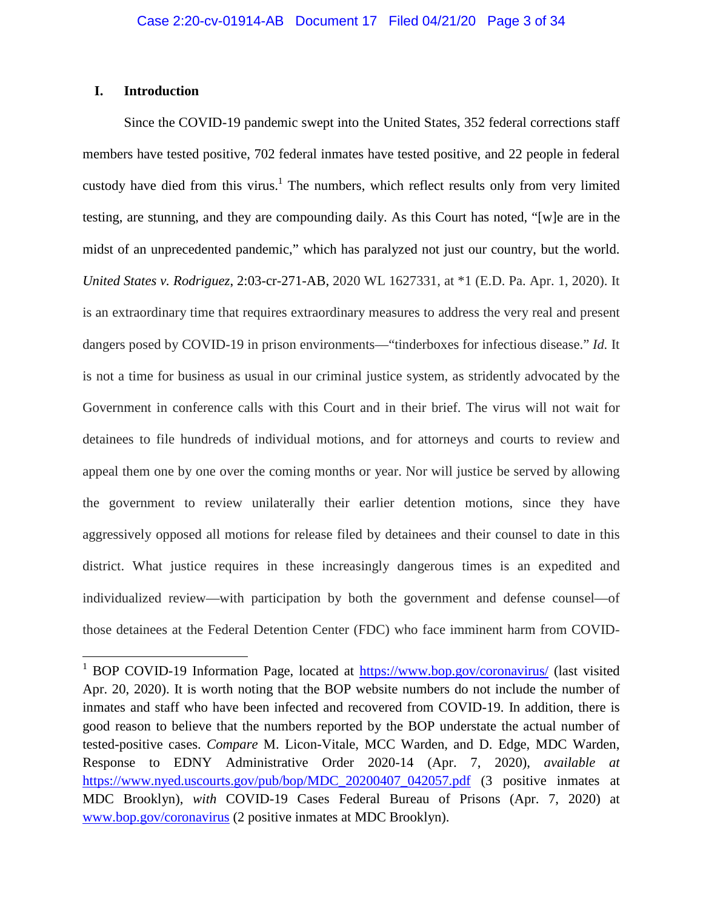### **I. Introduction**

Since the COVID-19 pandemic swept into the United States, 352 federal corrections staff members have tested positive, 702 federal inmates have tested positive, and 22 people in federal custody have died from this virus.<sup>1</sup> The numbers, which reflect results only from very limited testing, are stunning, and they are compounding daily. As this Court has noted, "[w]e are in the midst of an unprecedented pandemic," which has paralyzed not just our country, but the world. *United States v. Rodriguez*, 2:03-cr-271-AB, 2020 WL 1627331, at \*1 (E.D. Pa. Apr. 1, 2020). It is an extraordinary time that requires extraordinary measures to address the very real and present dangers posed by COVID-19 in prison environments—"tinderboxes for infectious disease." *Id.* It is not a time for business as usual in our criminal justice system, as stridently advocated by the Government in conference calls with this Court and in their brief. The virus will not wait for detainees to file hundreds of individual motions, and for attorneys and courts to review and appeal them one by one over the coming months or year. Nor will justice be served by allowing the government to review unilaterally their earlier detention motions, since they have aggressively opposed all motions for release filed by detainees and their counsel to date in this district. What justice requires in these increasingly dangerous times is an expedited and individualized review—with participation by both the government and defense counsel—of those detainees at the Federal Detention Center (FDC) who face imminent harm from COVID-

<sup>&</sup>lt;sup>1</sup> BOP COVID-19 Information Page, located at **https://www.bop.gov/coronavirus/** (last visited Apr. 20, 2020). It is worth noting that the BOP website numbers do not include the number of inmates and staff who have been infected and recovered from COVID-19. In addition, there is good reason to believe that the numbers reported by the BOP understate the actual number of tested-positive cases. *Compare* M. Licon-Vitale, MCC Warden, and D. Edge, MDC Warden, Response to EDNY Administrative Order 2020-14 (Apr. 7, 2020), *available at* https://www.nyed.uscourts.gov/pub/bop/MDC 20200407 042057.pdf (3 positive inmates at MDC Brooklyn), *with* COVID-19 Cases Federal Bureau of Prisons (Apr. 7, 2020) at www.bop.gov/coronavirus (2 positive inmates at MDC Brooklyn).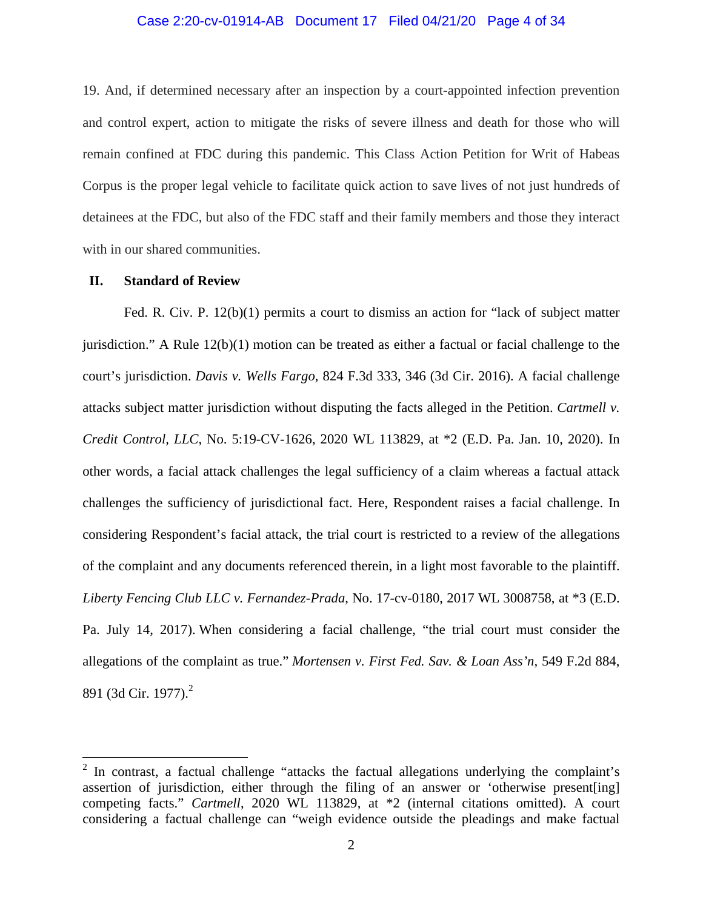#### Case 2:20-cv-01914-AB Document 17 Filed 04/21/20 Page 4 of 34

19. And, if determined necessary after an inspection by a court-appointed infection prevention and control expert, action to mitigate the risks of severe illness and death for those who will remain confined at FDC during this pandemic. This Class Action Petition for Writ of Habeas Corpus is the proper legal vehicle to facilitate quick action to save lives of not just hundreds of detainees at the FDC, but also of the FDC staff and their family members and those they interact with in our shared communities.

#### **II. Standard of Review**

Fed. R. Civ. P. 12(b)(1) permits a court to dismiss an action for "lack of subject matter jurisdiction." A Rule 12(b)(1) motion can be treated as either a factual or facial challenge to the court's jurisdiction. *Davis v. Wells Fargo*, 824 F.3d 333, 346 (3d Cir. 2016). A facial challenge attacks subject matter jurisdiction without disputing the facts alleged in the Petition. *Cartmell v. Credit Control, LLC*, No. 5:19-CV-1626, 2020 WL 113829, at \*2 (E.D. Pa. Jan. 10, 2020). In other words, a facial attack challenges the legal sufficiency of a claim whereas a factual attack challenges the sufficiency of jurisdictional fact. Here, Respondent raises a facial challenge. In considering Respondent's facial attack, the trial court is restricted to a review of the allegations of the complaint and any documents referenced therein, in a light most favorable to the plaintiff. *Liberty Fencing Club LLC v. Fernandez-Prada*, No. 17-cv-0180, 2017 WL 3008758, at \*3 (E.D. Pa. July 14, 2017). When considering a facial challenge, "the trial court must consider the allegations of the complaint as true." *Mortensen v. First Fed. Sav. & Loan Ass'n,* 549 F.2d 884, 891 (3d Cir. 1977).<sup>2</sup>

 $2$  In contrast, a factual challenge "attacks the factual allegations underlying the complaint's assertion of jurisdiction, either through the filing of an answer or 'otherwise present[ing] competing facts." *Cartmell*, 2020 WL 113829, at \*2 (internal citations omitted). A court considering a factual challenge can "weigh evidence outside the pleadings and make factual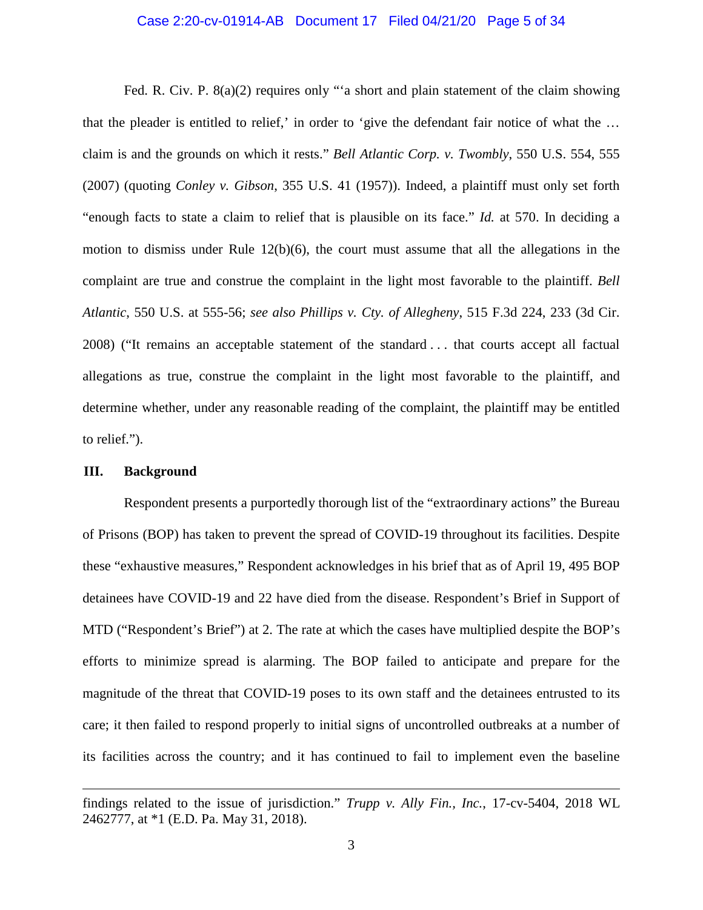#### Case 2:20-cv-01914-AB Document 17 Filed 04/21/20 Page 5 of 34

Fed. R. Civ. P. 8(a)(2) requires only "a short and plain statement of the claim showing that the pleader is entitled to relief,' in order to 'give the defendant fair notice of what the … claim is and the grounds on which it rests." *Bell Atlantic Corp. v. Twombly*, 550 U.S. 554, 555 (2007) (quoting *Conley v. Gibson*, 355 U.S. 41 (1957)). Indeed, a plaintiff must only set forth "enough facts to state a claim to relief that is plausible on its face." *Id.* at 570. In deciding a motion to dismiss under Rule 12(b)(6), the court must assume that all the allegations in the complaint are true and construe the complaint in the light most favorable to the plaintiff. *Bell Atlantic*, 550 U.S. at 555-56; *see also Phillips v. Cty. of Allegheny*, 515 F.3d 224, 233 (3d Cir. 2008) ("It remains an acceptable statement of the standard . . . that courts accept all factual allegations as true, construe the complaint in the light most favorable to the plaintiff, and determine whether, under any reasonable reading of the complaint, the plaintiff may be entitled to relief.").

#### **III. Background**

Respondent presents a purportedly thorough list of the "extraordinary actions" the Bureau of Prisons (BOP) has taken to prevent the spread of COVID-19 throughout its facilities. Despite these "exhaustive measures," Respondent acknowledges in his brief that as of April 19, 495 BOP detainees have COVID-19 and 22 have died from the disease. Respondent's Brief in Support of MTD ("Respondent's Brief") at 2. The rate at which the cases have multiplied despite the BOP's efforts to minimize spread is alarming. The BOP failed to anticipate and prepare for the magnitude of the threat that COVID-19 poses to its own staff and the detainees entrusted to its care; it then failed to respond properly to initial signs of uncontrolled outbreaks at a number of its facilities across the country; and it has continued to fail to implement even the baseline

findings related to the issue of jurisdiction." *Trupp v. Ally Fin., Inc.*, 17-cv-5404, 2018 WL 2462777, at \*1 (E.D. Pa. May 31, 2018).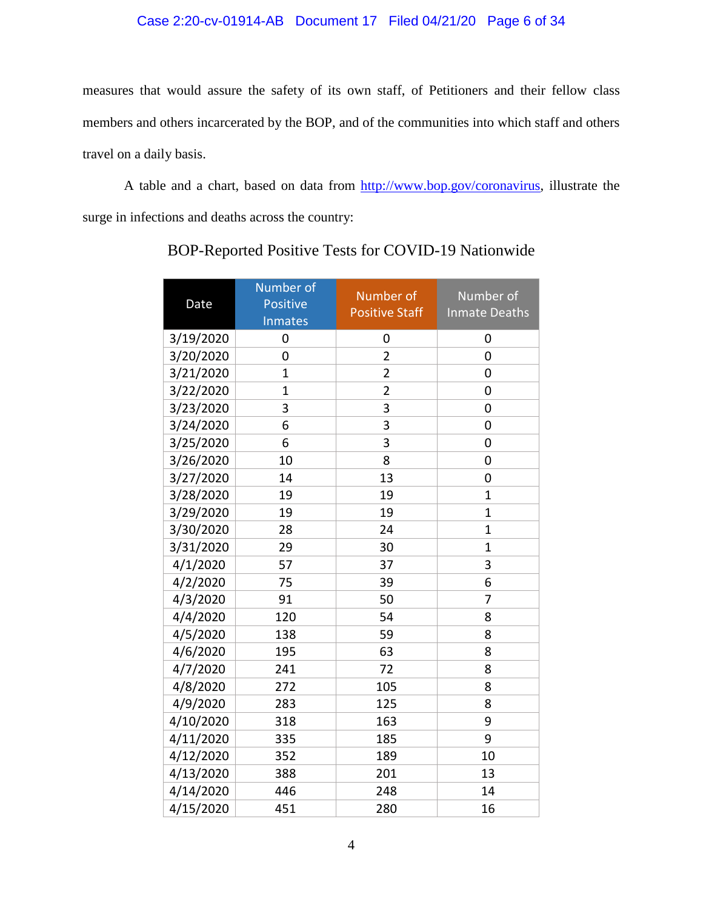# Case 2:20-cv-01914-AB Document 17 Filed 04/21/20 Page 6 of 34

measures that would assure the safety of its own staff, of Petitioners and their fellow class members and others incarcerated by the BOP, and of the communities into which staff and others travel on a daily basis.

A table and a chart, based on data from http://www.bop.gov/coronavirus, illustrate the surge in infections and deaths across the country:

| Date      | Number of<br>Positive<br><b>Inmates</b> | Number of<br><b>Positive Staff</b> | Number of<br><b>Inmate Deaths</b> |
|-----------|-----------------------------------------|------------------------------------|-----------------------------------|
| 3/19/2020 | 0                                       | 0                                  | 0                                 |
| 3/20/2020 | 0                                       | $\overline{2}$                     | 0                                 |
| 3/21/2020 | 1                                       | 2                                  | 0                                 |
| 3/22/2020 | $\mathbf{1}$                            | $\overline{2}$                     | $\overline{0}$                    |
| 3/23/2020 | 3                                       | 3                                  | $\mathbf 0$                       |
| 3/24/2020 | 6                                       | 3                                  | $\mathbf 0$                       |
| 3/25/2020 | 6                                       | 3                                  | $\mathbf 0$                       |
| 3/26/2020 | 10                                      | 8                                  | 0                                 |
| 3/27/2020 | 14                                      | 13                                 | 0                                 |
| 3/28/2020 | 19                                      | 19                                 | $\mathbf 1$                       |
| 3/29/2020 | 19                                      | 19                                 | $\overline{1}$                    |
| 3/30/2020 | 28                                      | 24                                 | $\overline{1}$                    |
| 3/31/2020 | 29                                      | 30                                 | $\overline{1}$                    |
| 4/1/2020  | 57                                      | 37                                 | 3                                 |
| 4/2/2020  | 75                                      | 39                                 | 6                                 |
| 4/3/2020  | 91                                      | 50                                 | 7                                 |
| 4/4/2020  | 120                                     | 54                                 | 8                                 |
| 4/5/2020  | 138                                     | 59                                 | 8                                 |
| 4/6/2020  | 195                                     | 63                                 | 8                                 |
| 4/7/2020  | 241                                     | 72                                 | 8                                 |
| 4/8/2020  | 272                                     | 105                                | 8                                 |
| 4/9/2020  | 283                                     | 125                                | 8                                 |
| 4/10/2020 | 318                                     | 163                                | 9                                 |
| 4/11/2020 | 335                                     | 185                                | 9                                 |
| 4/12/2020 | 352                                     | 189                                | 10                                |
| 4/13/2020 | 388                                     | 201                                | 13                                |
| 4/14/2020 | 446                                     | 248                                | 14                                |
| 4/15/2020 | 451                                     | 280                                | 16                                |

BOP-Reported Positive Tests for COVID-19 Nationwide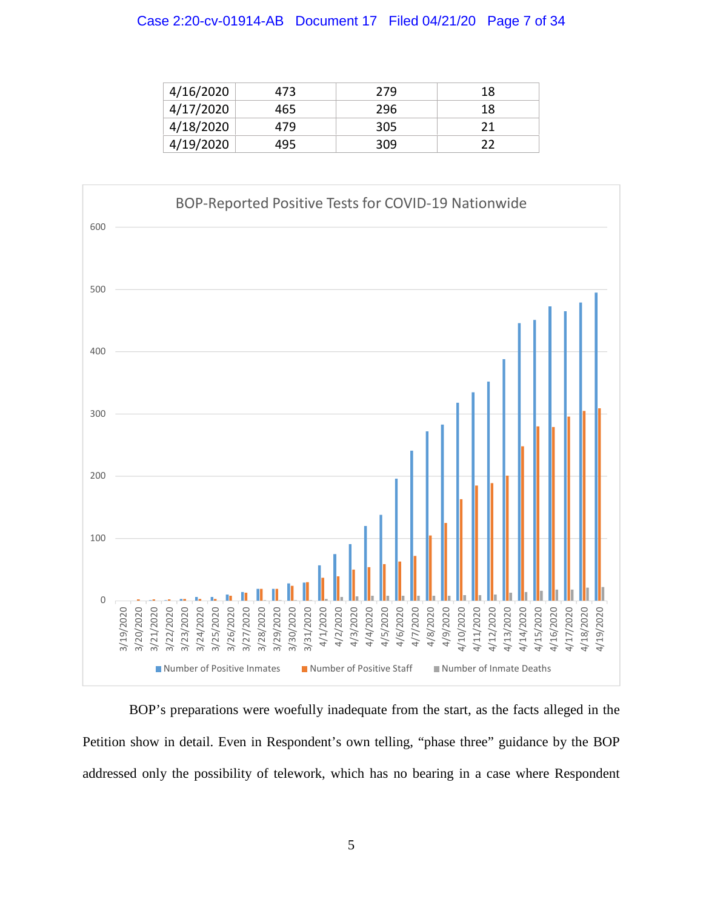#### Case 2:20-cv-01914-AB Document 17 Filed 04/21/20 Page 7 of 34

| 4/16/2020 | 473 | 279 | 18 |
|-----------|-----|-----|----|
| 4/17/2020 | 465 | 296 | 18 |
| 4/18/2020 | 479 | 305 |    |
| 4/19/2020 | 495 | 309 |    |



BOP's preparations were woefully inadequate from the start, as the facts alleged in the Petition show in detail. Even in Respondent's own telling, "phase three" guidance by the BOP addressed only the possibility of telework, which has no bearing in a case where Respondent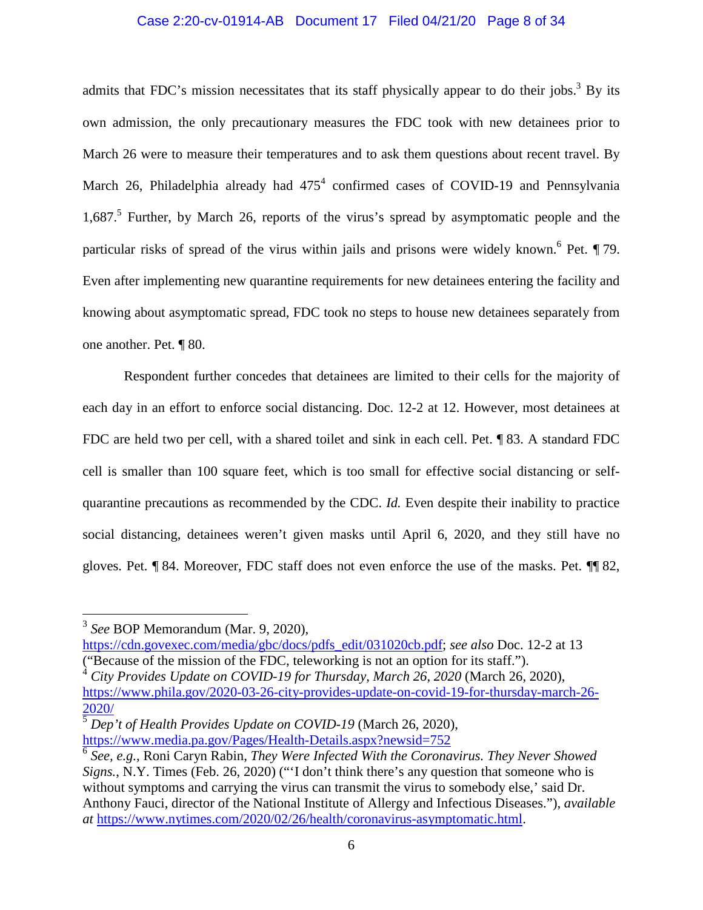#### Case 2:20-cv-01914-AB Document 17 Filed 04/21/20 Page 8 of 34

admits that FDC's mission necessitates that its staff physically appear to do their jobs.<sup>3</sup> By its own admission, the only precautionary measures the FDC took with new detainees prior to March 26 were to measure their temperatures and to ask them questions about recent travel. By March 26, Philadelphia already had  $475^4$  confirmed cases of COVID-19 and Pennsylvania 1,687.<sup>5</sup> Further, by March 26, reports of the virus's spread by asymptomatic people and the particular risks of spread of the virus within jails and prisons were widely known. <sup>6</sup> Pet. 179. Even after implementing new quarantine requirements for new detainees entering the facility and knowing about asymptomatic spread, FDC took no steps to house new detainees separately from one another. Pet. ¶ 80.

Respondent further concedes that detainees are limited to their cells for the majority of each day in an effort to enforce social distancing. Doc. 12-2 at 12. However, most detainees at FDC are held two per cell, with a shared toilet and sink in each cell. Pet. ¶ 83. A standard FDC cell is smaller than 100 square feet, which is too small for effective social distancing or selfquarantine precautions as recommended by the CDC. *Id.* Even despite their inability to practice social distancing, detainees weren't given masks until April 6, 2020, and they still have no gloves. Pet. ¶ 84. Moreover, FDC staff does not even enforce the use of the masks. Pet. ¶¶ 82,

https://cdn.govexec.com/media/gbc/docs/pdfs\_edit/031020cb.pdf; *see also* Doc. 12-2 at 13 ("Because of the mission of the FDC, teleworking is not an option for its staff.").

<sup>4</sup> *City Provides Update on COVID-19 for Thursday, March 26, 2020* (March 26, 2020), https://www.phila.gov/2020-03-26-city-provides-update-on-covid-19-for-thursday-march-26- 2020/

<sup>5</sup> *Dep't of Health Provides Update on COVID-19* (March 26, 2020), https://www.media.pa.gov/Pages/Health-Details.aspx?newsid=752

<sup>3</sup> *See* BOP Memorandum (Mar. 9, 2020),

<sup>6</sup> *See, e.g.*, Roni Caryn Rabin, *They Were Infected With the Coronavirus. They Never Showed Signs.*, N.Y. Times (Feb. 26, 2020) ("'I don't think there's any question that someone who is without symptoms and carrying the virus can transmit the virus to somebody else,' said Dr. Anthony Fauci, director of the National Institute of Allergy and Infectious Diseases."), *available at* https://www.nytimes.com/2020/02/26/health/coronavirus-asymptomatic.html.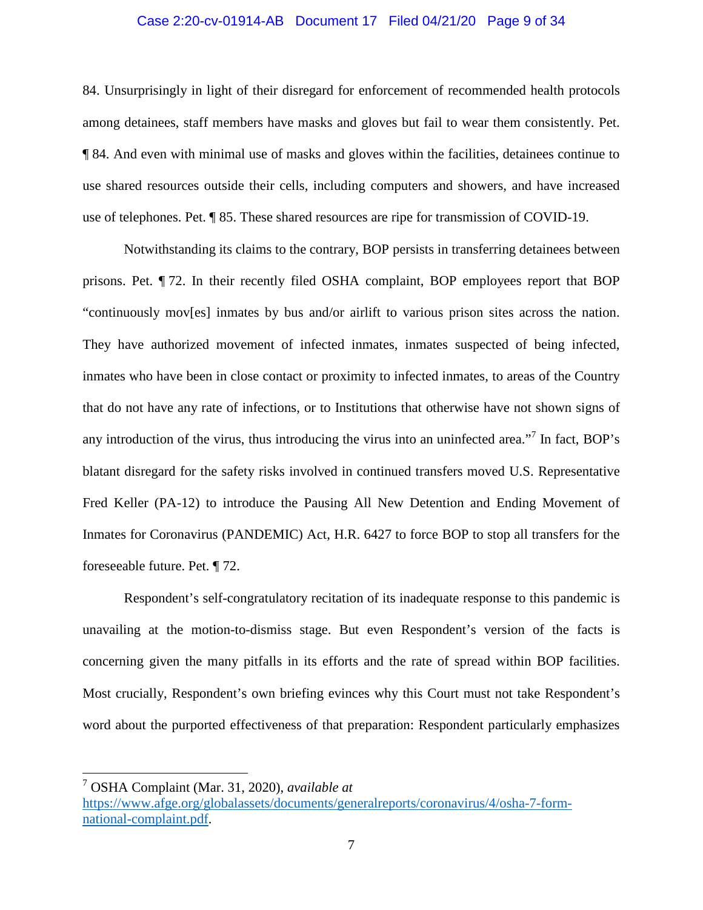#### Case 2:20-cv-01914-AB Document 17 Filed 04/21/20 Page 9 of 34

84. Unsurprisingly in light of their disregard for enforcement of recommended health protocols among detainees, staff members have masks and gloves but fail to wear them consistently. Pet. ¶ 84. And even with minimal use of masks and gloves within the facilities, detainees continue to use shared resources outside their cells, including computers and showers, and have increased use of telephones. Pet. ¶ 85. These shared resources are ripe for transmission of COVID-19.

Notwithstanding its claims to the contrary, BOP persists in transferring detainees between prisons. Pet. ¶ 72. In their recently filed OSHA complaint, BOP employees report that BOP "continuously mov[es] inmates by bus and/or airlift to various prison sites across the nation. They have authorized movement of infected inmates, inmates suspected of being infected, inmates who have been in close contact or proximity to infected inmates, to areas of the Country that do not have any rate of infections, or to Institutions that otherwise have not shown signs of any introduction of the virus, thus introducing the virus into an uninfected area."<sup>7</sup> In fact, BOP's blatant disregard for the safety risks involved in continued transfers moved U.S. Representative Fred Keller (PA-12) to introduce the Pausing All New Detention and Ending Movement of Inmates for Coronavirus (PANDEMIC) Act, H.R. 6427 to force BOP to stop all transfers for the foreseeable future. Pet. ¶ 72.

Respondent's self-congratulatory recitation of its inadequate response to this pandemic is unavailing at the motion-to-dismiss stage. But even Respondent's version of the facts is concerning given the many pitfalls in its efforts and the rate of spread within BOP facilities. Most crucially, Respondent's own briefing evinces why this Court must not take Respondent's word about the purported effectiveness of that preparation: Respondent particularly emphasizes

<sup>7</sup> OSHA Complaint (Mar. 31, 2020), *available at*

https://www.afge.org/globalassets/documents/generalreports/coronavirus/4/osha-7-formnational-complaint.pdf.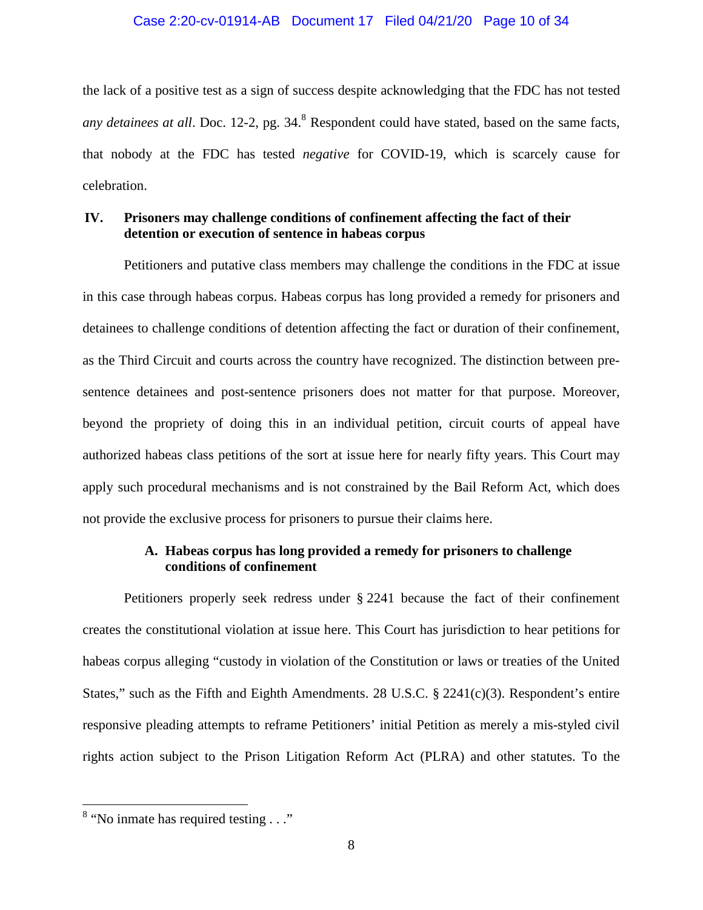#### Case 2:20-cv-01914-AB Document 17 Filed 04/21/20 Page 10 of 34

the lack of a positive test as a sign of success despite acknowledging that the FDC has not tested any detainees at all. Doc. 12-2, pg. 34.<sup>8</sup> Respondent could have stated, based on the same facts, that nobody at the FDC has tested *negative* for COVID-19, which is scarcely cause for celebration.

### **IV. Prisoners may challenge conditions of confinement affecting the fact of their detention or execution of sentence in habeas corpus**

Petitioners and putative class members may challenge the conditions in the FDC at issue in this case through habeas corpus. Habeas corpus has long provided a remedy for prisoners and detainees to challenge conditions of detention affecting the fact or duration of their confinement, as the Third Circuit and courts across the country have recognized. The distinction between presentence detainees and post-sentence prisoners does not matter for that purpose. Moreover, beyond the propriety of doing this in an individual petition, circuit courts of appeal have authorized habeas class petitions of the sort at issue here for nearly fifty years. This Court may apply such procedural mechanisms and is not constrained by the Bail Reform Act, which does not provide the exclusive process for prisoners to pursue their claims here.

# **A. Habeas corpus has long provided a remedy for prisoners to challenge conditions of confinement**

Petitioners properly seek redress under § 2241 because the fact of their confinement creates the constitutional violation at issue here. This Court has jurisdiction to hear petitions for habeas corpus alleging "custody in violation of the Constitution or laws or treaties of the United States," such as the Fifth and Eighth Amendments. 28 U.S.C.  $\S 2241(c)(3)$ . Respondent's entire responsive pleading attempts to reframe Petitioners' initial Petition as merely a mis-styled civil rights action subject to the Prison Litigation Reform Act (PLRA) and other statutes. To the

<sup>&</sup>lt;sup>8</sup> "No inmate has required testing . . ."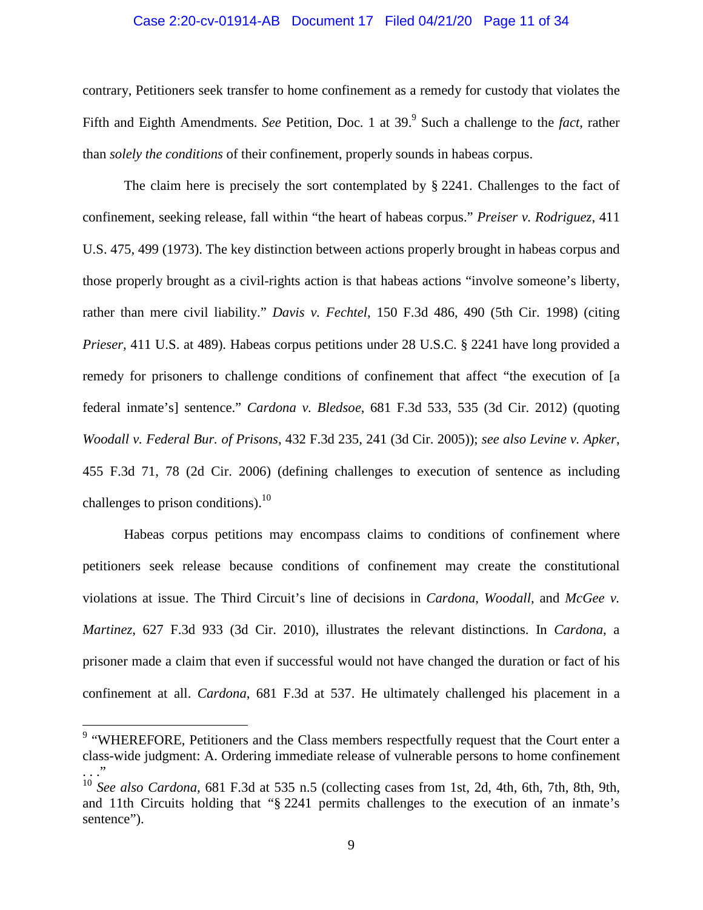#### Case 2:20-cv-01914-AB Document 17 Filed 04/21/20 Page 11 of 34

contrary, Petitioners seek transfer to home confinement as a remedy for custody that violates the Fifth and Eighth Amendments. *See* Petition, Doc. 1 at 39.<sup>9</sup> Such a challenge to the *fact*, rather than *solely the conditions* of their confinement, properly sounds in habeas corpus.

The claim here is precisely the sort contemplated by  $\S 2241$ . Challenges to the fact of confinement, seeking release, fall within "the heart of habeas corpus." *Preiser v. Rodriguez*, 411 U.S. 475, 499 (1973). The key distinction between actions properly brought in habeas corpus and those properly brought as a civil-rights action is that habeas actions "involve someone's liberty, rather than mere civil liability." *Davis v. Fechtel*, 150 F.3d 486, 490 (5th Cir. 1998) (citing *Prieser*, 411 U.S. at 489). Habeas corpus petitions under 28 U.S.C. § 2241 have long provided a remedy for prisoners to challenge conditions of confinement that affect "the execution of [a federal inmate's] sentence." *Cardona v. Bledsoe*, 681 F.3d 533, 535 (3d Cir. 2012) (quoting *Woodall v. Federal Bur. of Prisons*, 432 F.3d 235, 241 (3d Cir. 2005)); *see also Levine v. Apker*, 455 F.3d 71, 78 (2d Cir. 2006) (defining challenges to execution of sentence as including challenges to prison conditions). $^{10}$ 

Habeas corpus petitions may encompass claims to conditions of confinement where petitioners seek release because conditions of confinement may create the constitutional violations at issue. The Third Circuit's line of decisions in *Cardona*, *Woodall*, and *McGee v. Martinez*, 627 F.3d 933 (3d Cir. 2010), illustrates the relevant distinctions. In *Cardona*, a prisoner made a claim that even if successful would not have changed the duration or fact of his confinement at all. *Cardona*, 681 F.3d at 537. He ultimately challenged his placement in a

<sup>&</sup>lt;sup>9</sup> "WHEREFORE, Petitioners and the Class members respectfully request that the Court enter a class-wide judgment: A. Ordering immediate release of vulnerable persons to home confinement . . ."

<sup>10</sup> *See also Cardona*, 681 F.3d at 535 n.5 (collecting cases from 1st, 2d, 4th, 6th, 7th, 8th, 9th, and 11th Circuits holding that "§ 2241 permits challenges to the execution of an inmate's sentence").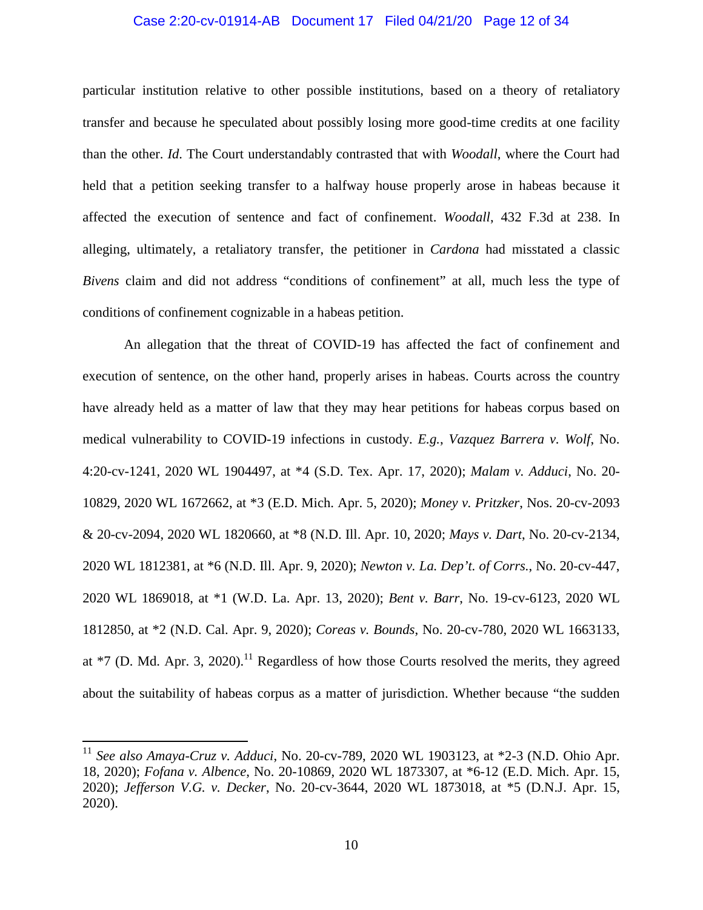#### Case 2:20-cv-01914-AB Document 17 Filed 04/21/20 Page 12 of 34

particular institution relative to other possible institutions, based on a theory of retaliatory transfer and because he speculated about possibly losing more good-time credits at one facility than the other. *Id*. The Court understandably contrasted that with *Woodall*, where the Court had held that a petition seeking transfer to a halfway house properly arose in habeas because it affected the execution of sentence and fact of confinement. *Woodall*, 432 F.3d at 238. In alleging, ultimately, a retaliatory transfer, the petitioner in *Cardona* had misstated a classic *Bivens* claim and did not address "conditions of confinement" at all, much less the type of conditions of confinement cognizable in a habeas petition.

An allegation that the threat of COVID-19 has affected the fact of confinement and execution of sentence, on the other hand, properly arises in habeas. Courts across the country have already held as a matter of law that they may hear petitions for habeas corpus based on medical vulnerability to COVID-19 infections in custody. *E.g.*, *Vazquez Barrera v. Wolf*, No. 4:20-cv-1241, 2020 WL 1904497, at \*4 (S.D. Tex. Apr. 17, 2020); *Malam v. Adduci*, No. 20- 10829, 2020 WL 1672662, at \*3 (E.D. Mich. Apr. 5, 2020); *Money v. Pritzker*, Nos. 20-cv-2093 & 20-cv-2094, 2020 WL 1820660, at \*8 (N.D. Ill. Apr. 10, 2020; *Mays v. Dart*, No. 20-cv-2134, 2020 WL 1812381, at \*6 (N.D. Ill. Apr. 9, 2020); *Newton v. La. Dep't. of Corrs.*, No. 20-cv-447, 2020 WL 1869018, at \*1 (W.D. La. Apr. 13, 2020); *Bent v. Barr*, No. 19-cv-6123, 2020 WL 1812850, at \*2 (N.D. Cal. Apr. 9, 2020); *Coreas v. Bounds*, No. 20-cv-780, 2020 WL 1663133, at  $*7$  (D. Md. Apr. 3, 2020).<sup>11</sup> Regardless of how those Courts resolved the merits, they agreed about the suitability of habeas corpus as a matter of jurisdiction. Whether because "the sudden

<sup>11</sup> *See also Amaya-Cruz v. Adduci*, No. 20-cv-789, 2020 WL 1903123, at \*2-3 (N.D. Ohio Apr. 18, 2020); *Fofana v. Albence*, No. 20-10869, 2020 WL 1873307, at \*6-12 (E.D. Mich. Apr. 15, 2020); *Jefferson V.G. v. Decker*, No. 20-cv-3644, 2020 WL 1873018, at \*5 (D.N.J. Apr. 15, 2020).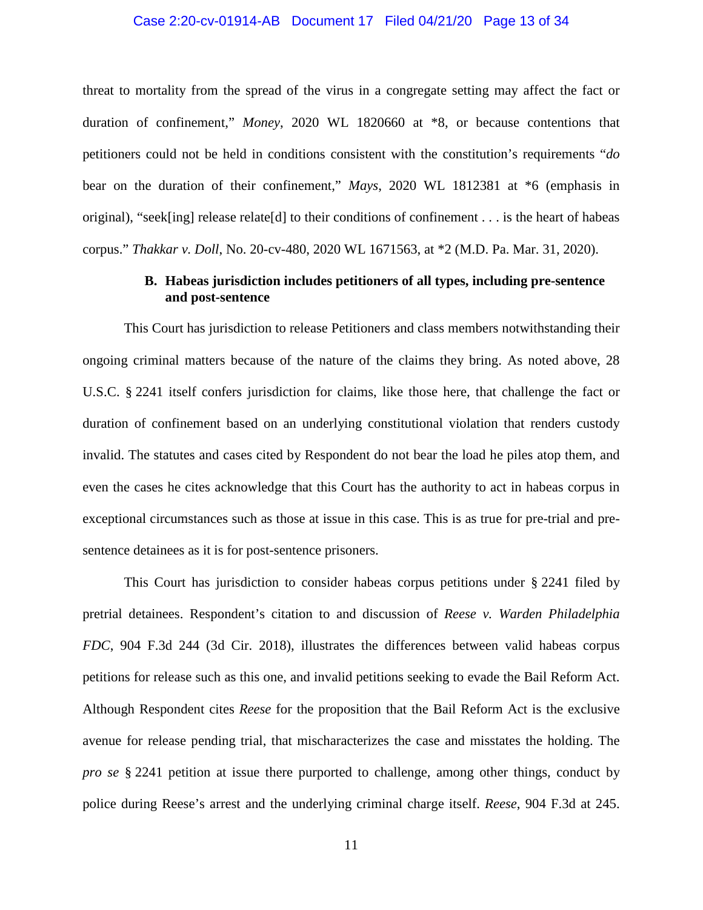#### Case 2:20-cv-01914-AB Document 17 Filed 04/21/20 Page 13 of 34

threat to mortality from the spread of the virus in a congregate setting may affect the fact or duration of confinement," *Money*, 2020 WL 1820660 at \*8, or because contentions that petitioners could not be held in conditions consistent with the constitution's requirements "*do*  bear on the duration of their confinement," *Mays*, 2020 WL 1812381 at \*6 (emphasis in original), "seek[ing] release relate[d] to their conditions of confinement . . . is the heart of habeas corpus." *Thakkar v. Doll*, No. 20-cv-480, 2020 WL 1671563, at \*2 (M.D. Pa. Mar. 31, 2020).

### **B. Habeas jurisdiction includes petitioners of all types, including pre-sentence and post-sentence**

This Court has jurisdiction to release Petitioners and class members notwithstanding their ongoing criminal matters because of the nature of the claims they bring. As noted above, 28 U.S.C. § 2241 itself confers jurisdiction for claims, like those here, that challenge the fact or duration of confinement based on an underlying constitutional violation that renders custody invalid. The statutes and cases cited by Respondent do not bear the load he piles atop them, and even the cases he cites acknowledge that this Court has the authority to act in habeas corpus in exceptional circumstances such as those at issue in this case. This is as true for pre-trial and presentence detainees as it is for post-sentence prisoners.

This Court has jurisdiction to consider habeas corpus petitions under § 2241 filed by pretrial detainees. Respondent's citation to and discussion of *Reese v. Warden Philadelphia FDC*, 904 F.3d 244 (3d Cir. 2018), illustrates the differences between valid habeas corpus petitions for release such as this one, and invalid petitions seeking to evade the Bail Reform Act. Although Respondent cites *Reese* for the proposition that the Bail Reform Act is the exclusive avenue for release pending trial, that mischaracterizes the case and misstates the holding. The *pro se* § 2241 petition at issue there purported to challenge, among other things, conduct by police during Reese's arrest and the underlying criminal charge itself. *Reese*, 904 F.3d at 245.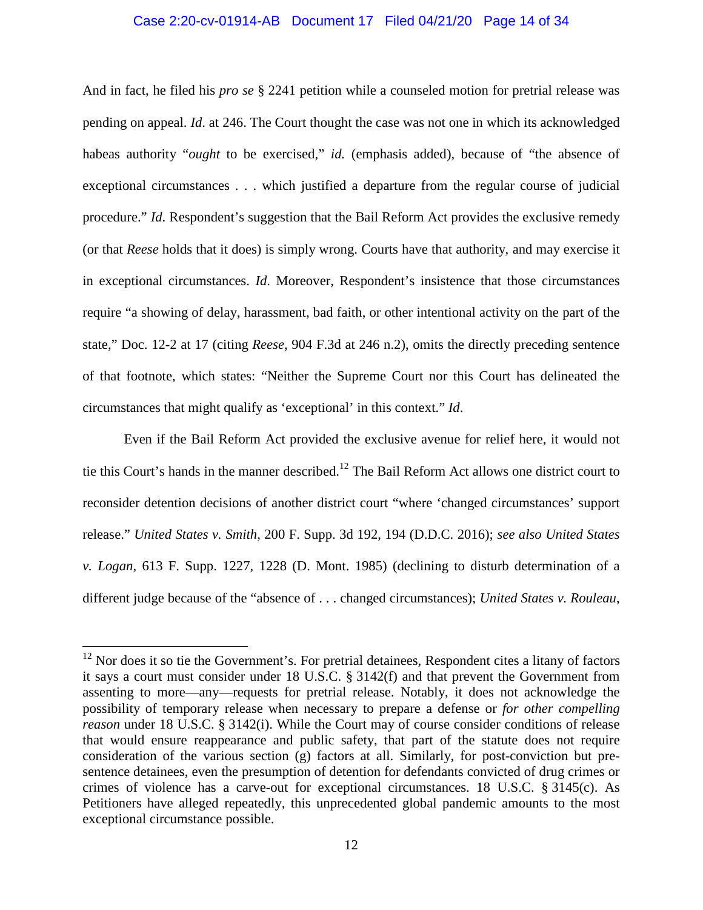#### Case 2:20-cv-01914-AB Document 17 Filed 04/21/20 Page 14 of 34

And in fact, he filed his *pro se* § 2241 petition while a counseled motion for pretrial release was pending on appeal. *Id*. at 246. The Court thought the case was not one in which its acknowledged habeas authority "*ought* to be exercised," *id.* (emphasis added), because of "the absence of exceptional circumstances . . . which justified a departure from the regular course of judicial procedure." *Id*. Respondent's suggestion that the Bail Reform Act provides the exclusive remedy (or that *Reese* holds that it does) is simply wrong. Courts have that authority, and may exercise it in exceptional circumstances. *Id*. Moreover, Respondent's insistence that those circumstances require "a showing of delay, harassment, bad faith, or other intentional activity on the part of the state," Doc. 12-2 at 17 (citing *Reese*, 904 F.3d at 246 n.2), omits the directly preceding sentence of that footnote, which states: "Neither the Supreme Court nor this Court has delineated the circumstances that might qualify as 'exceptional' in this context." *Id*.

Even if the Bail Reform Act provided the exclusive avenue for relief here, it would not tie this Court's hands in the manner described.<sup>12</sup> The Bail Reform Act allows one district court to reconsider detention decisions of another district court "where 'changed circumstances' support release." *United States v. Smith*, 200 F. Supp. 3d 192, 194 (D.D.C. 2016); *see also United States v. Logan*, 613 F. Supp. 1227, 1228 (D. Mont. 1985) (declining to disturb determination of a different judge because of the "absence of . . . changed circumstances); *United States v. Rouleau*,

 $12$  Nor does it so tie the Government's. For pretrial detainees, Respondent cites a litany of factors it says a court must consider under 18 U.S.C. § 3142(f) and that prevent the Government from assenting to more—any—requests for pretrial release. Notably, it does not acknowledge the possibility of temporary release when necessary to prepare a defense or *for other compelling reason* under 18 U.S.C. § 3142(i). While the Court may of course consider conditions of release that would ensure reappearance and public safety, that part of the statute does not require consideration of the various section (g) factors at all. Similarly, for post-conviction but presentence detainees, even the presumption of detention for defendants convicted of drug crimes or crimes of violence has a carve-out for exceptional circumstances. 18 U.S.C. § 3145(c). As Petitioners have alleged repeatedly, this unprecedented global pandemic amounts to the most exceptional circumstance possible.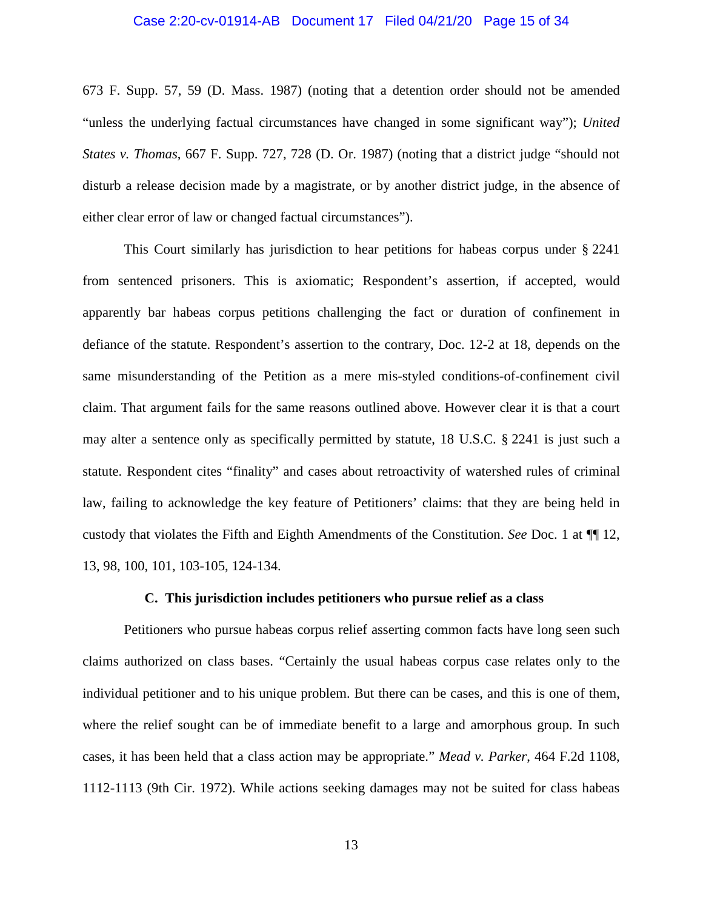#### Case 2:20-cv-01914-AB Document 17 Filed 04/21/20 Page 15 of 34

673 F. Supp. 57, 59 (D. Mass. 1987) (noting that a detention order should not be amended "unless the underlying factual circumstances have changed in some significant way"); *United States v. Thomas*, 667 F. Supp. 727, 728 (D. Or. 1987) (noting that a district judge "should not disturb a release decision made by a magistrate, or by another district judge, in the absence of either clear error of law or changed factual circumstances").

This Court similarly has jurisdiction to hear petitions for habeas corpus under § 2241 from sentenced prisoners. This is axiomatic; Respondent's assertion, if accepted, would apparently bar habeas corpus petitions challenging the fact or duration of confinement in defiance of the statute. Respondent's assertion to the contrary, Doc. 12-2 at 18, depends on the same misunderstanding of the Petition as a mere mis-styled conditions-of-confinement civil claim. That argument fails for the same reasons outlined above. However clear it is that a court may alter a sentence only as specifically permitted by statute, 18 U.S.C. § 2241 is just such a statute. Respondent cites "finality" and cases about retroactivity of watershed rules of criminal law, failing to acknowledge the key feature of Petitioners' claims: that they are being held in custody that violates the Fifth and Eighth Amendments of the Constitution. *See* Doc. 1 at ¶¶ 12, 13, 98, 100, 101, 103-105, 124-134.

#### **C. This jurisdiction includes petitioners who pursue relief as a class**

Petitioners who pursue habeas corpus relief asserting common facts have long seen such claims authorized on class bases. "Certainly the usual habeas corpus case relates only to the individual petitioner and to his unique problem. But there can be cases, and this is one of them, where the relief sought can be of immediate benefit to a large and amorphous group. In such cases, it has been held that a class action may be appropriate." *Mead v. Parker*, 464 F.2d 1108, 1112-1113 (9th Cir. 1972). While actions seeking damages may not be suited for class habeas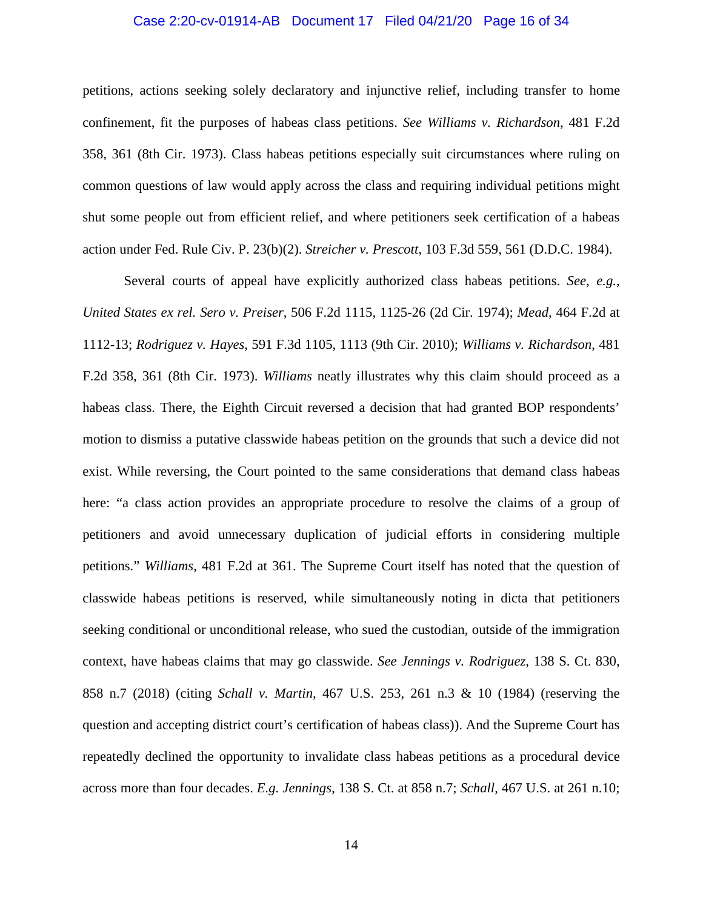#### Case 2:20-cv-01914-AB Document 17 Filed 04/21/20 Page 16 of 34

petitions, actions seeking solely declaratory and injunctive relief, including transfer to home confinement, fit the purposes of habeas class petitions. *See Williams v. Richardson*, 481 F.2d 358, 361 (8th Cir. 1973). Class habeas petitions especially suit circumstances where ruling on common questions of law would apply across the class and requiring individual petitions might shut some people out from efficient relief, and where petitioners seek certification of a habeas action under Fed. Rule Civ. P. 23(b)(2). *Streicher v. Prescott*, 103 F.3d 559, 561 (D.D.C. 1984).

Several courts of appeal have explicitly authorized class habeas petitions. *See, e.g.*, *United States ex rel. Sero v. Preiser*, 506 F.2d 1115, 1125-26 (2d Cir. 1974); *Mead*, 464 F.2d at 1112-13; *Rodriguez v. Hayes*, 591 F.3d 1105, 1113 (9th Cir. 2010); *Williams v. Richardson*, 481 F.2d 358, 361 (8th Cir. 1973). *Williams* neatly illustrates why this claim should proceed as a habeas class. There, the Eighth Circuit reversed a decision that had granted BOP respondents' motion to dismiss a putative classwide habeas petition on the grounds that such a device did not exist. While reversing, the Court pointed to the same considerations that demand class habeas here: "a class action provides an appropriate procedure to resolve the claims of a group of petitioners and avoid unnecessary duplication of judicial efforts in considering multiple petitions." *Williams*, 481 F.2d at 361. The Supreme Court itself has noted that the question of classwide habeas petitions is reserved, while simultaneously noting in dicta that petitioners seeking conditional or unconditional release, who sued the custodian, outside of the immigration context, have habeas claims that may go classwide. *See Jennings v. Rodriguez*, 138 S. Ct. 830, 858 n.7 (2018) (citing *Schall v. Martin*, 467 U.S. 253, 261 n.3 & 10 (1984) (reserving the question and accepting district court's certification of habeas class)). And the Supreme Court has repeatedly declined the opportunity to invalidate class habeas petitions as a procedural device across more than four decades. *E.g. Jennings*, 138 S. Ct. at 858 n.7; *Schall*, 467 U.S. at 261 n.10;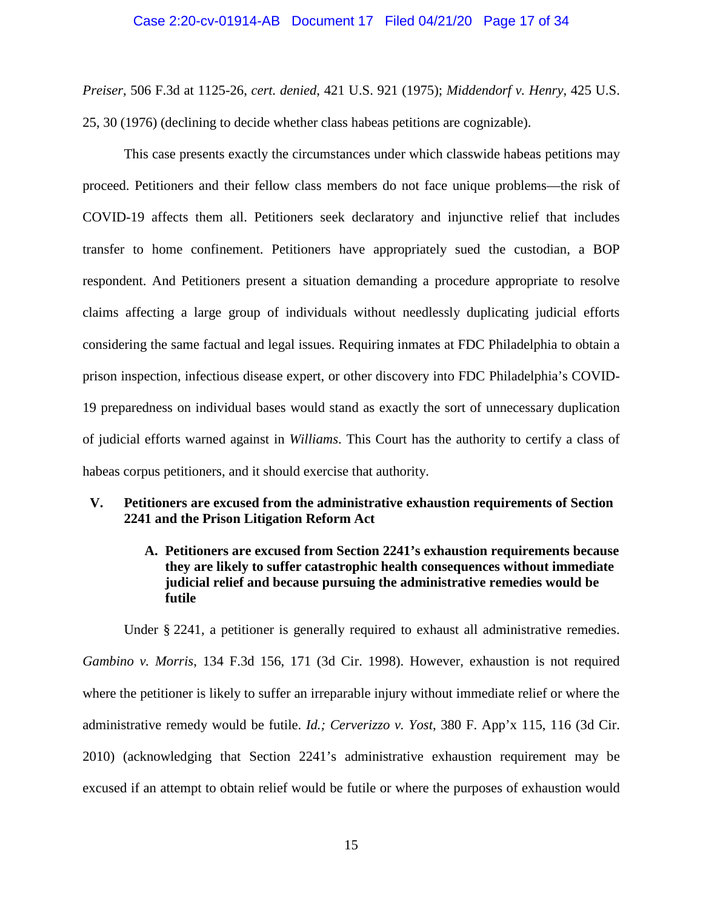*Preiser*, 506 F.3d at 1125-26, *cert. denied*, 421 U.S. 921 (1975); *Middendorf v. Henry*, 425 U.S. 25, 30 (1976) (declining to decide whether class habeas petitions are cognizable).

This case presents exactly the circumstances under which classwide habeas petitions may proceed. Petitioners and their fellow class members do not face unique problems—the risk of COVID-19 affects them all. Petitioners seek declaratory and injunctive relief that includes transfer to home confinement. Petitioners have appropriately sued the custodian, a BOP respondent. And Petitioners present a situation demanding a procedure appropriate to resolve claims affecting a large group of individuals without needlessly duplicating judicial efforts considering the same factual and legal issues. Requiring inmates at FDC Philadelphia to obtain a prison inspection, infectious disease expert, or other discovery into FDC Philadelphia's COVID-19 preparedness on individual bases would stand as exactly the sort of unnecessary duplication of judicial efforts warned against in *Williams*. This Court has the authority to certify a class of habeas corpus petitioners, and it should exercise that authority.

# **V. Petitioners are excused from the administrative exhaustion requirements of Section 2241 and the Prison Litigation Reform Act**

# **A. Petitioners are excused from Section 2241's exhaustion requirements because they are likely to suffer catastrophic health consequences without immediate judicial relief and because pursuing the administrative remedies would be futile**

Under § 2241, a petitioner is generally required to exhaust all administrative remedies. *Gambino v. Morris*, 134 F.3d 156, 171 (3d Cir. 1998). However, exhaustion is not required where the petitioner is likely to suffer an irreparable injury without immediate relief or where the administrative remedy would be futile. *Id.; Cerverizzo v. Yost*, 380 F. App'x 115, 116 (3d Cir. 2010) (acknowledging that Section 2241's administrative exhaustion requirement may be excused if an attempt to obtain relief would be futile or where the purposes of exhaustion would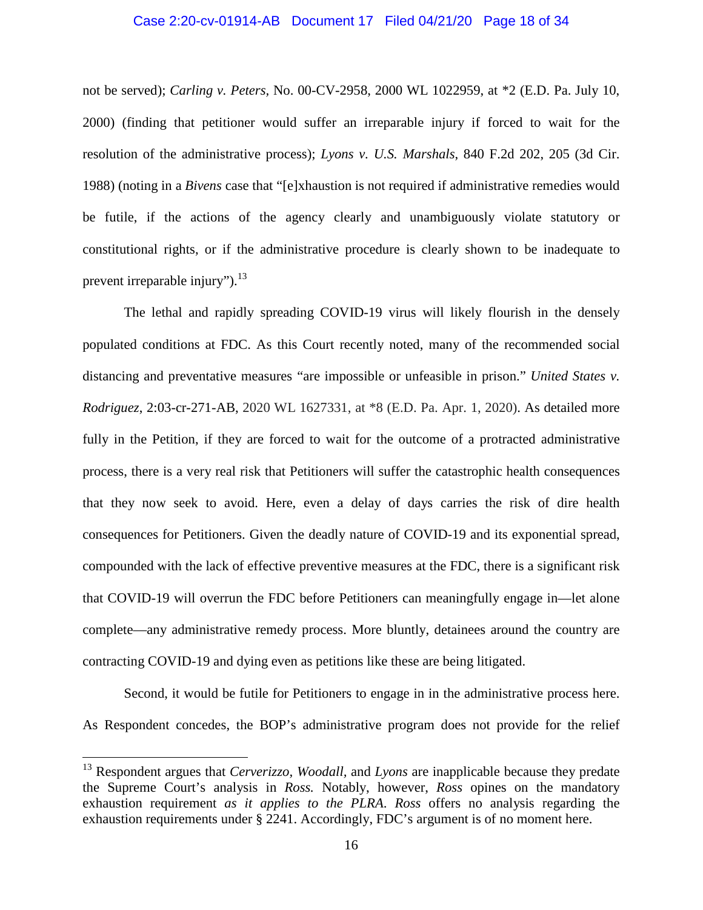#### Case 2:20-cv-01914-AB Document 17 Filed 04/21/20 Page 18 of 34

not be served); *Carling v. Peters,* No. 00-CV-2958, 2000 WL 1022959, at \*2 (E.D. Pa. July 10, 2000) (finding that petitioner would suffer an irreparable injury if forced to wait for the resolution of the administrative process); *Lyons v. U.S. Marshals*, 840 F.2d 202, 205 (3d Cir. 1988) (noting in a *Bivens* case that "[e]xhaustion is not required if administrative remedies would be futile, if the actions of the agency clearly and unambiguously violate statutory or constitutional rights, or if the administrative procedure is clearly shown to be inadequate to prevent irreparable injury"). $^{13}$ 

The lethal and rapidly spreading COVID-19 virus will likely flourish in the densely populated conditions at FDC. As this Court recently noted, many of the recommended social distancing and preventative measures "are impossible or unfeasible in prison." *United States v. Rodriguez*, 2:03-cr-271-AB, 2020 WL 1627331, at \*8 (E.D. Pa. Apr. 1, 2020). As detailed more fully in the Petition, if they are forced to wait for the outcome of a protracted administrative process, there is a very real risk that Petitioners will suffer the catastrophic health consequences that they now seek to avoid. Here, even a delay of days carries the risk of dire health consequences for Petitioners. Given the deadly nature of COVID-19 and its exponential spread, compounded with the lack of effective preventive measures at the FDC, there is a significant risk that COVID-19 will overrun the FDC before Petitioners can meaningfully engage in—let alone complete—any administrative remedy process. More bluntly, detainees around the country are contracting COVID-19 and dying even as petitions like these are being litigated.

Second, it would be futile for Petitioners to engage in in the administrative process here. As Respondent concedes, the BOP's administrative program does not provide for the relief

<sup>13</sup> Respondent argues that *Cerverizzo, Woodall,* and *Lyons* are inapplicable because they predate the Supreme Court's analysis in *Ross.* Notably, however, *Ross* opines on the mandatory exhaustion requirement *as it applies to the PLRA*. *Ross* offers no analysis regarding the exhaustion requirements under § 2241. Accordingly, FDC's argument is of no moment here.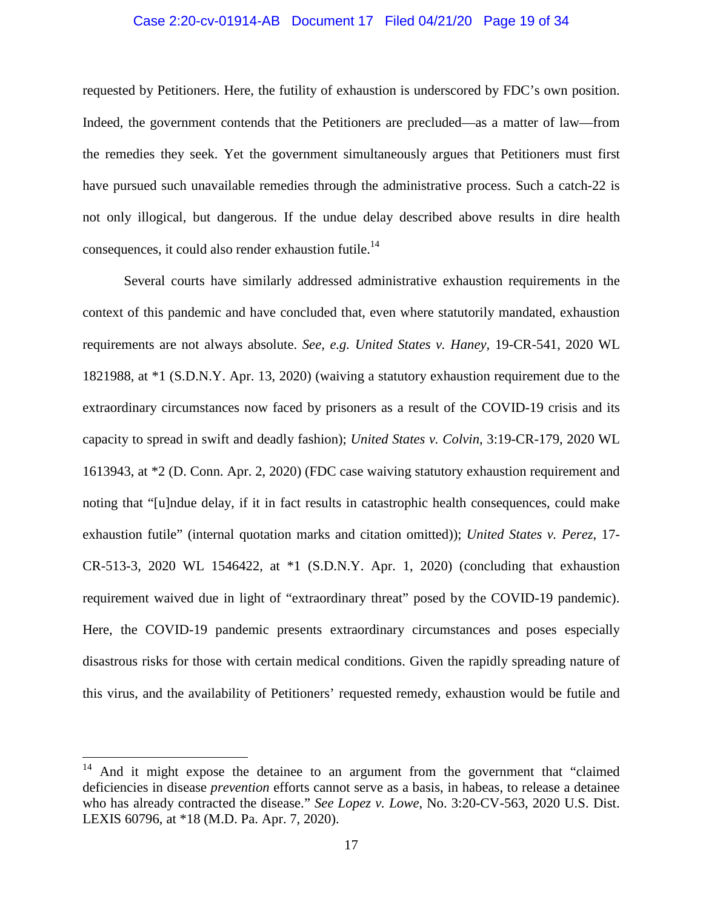#### Case 2:20-cv-01914-AB Document 17 Filed 04/21/20 Page 19 of 34

requested by Petitioners. Here, the futility of exhaustion is underscored by FDC's own position. Indeed, the government contends that the Petitioners are precluded—as a matter of law—from the remedies they seek. Yet the government simultaneously argues that Petitioners must first have pursued such unavailable remedies through the administrative process. Such a catch-22 is not only illogical, but dangerous. If the undue delay described above results in dire health consequences, it could also render exhaustion futile.<sup>14</sup>

Several courts have similarly addressed administrative exhaustion requirements in the context of this pandemic and have concluded that, even where statutorily mandated, exhaustion requirements are not always absolute. *See, e.g. United States v. Haney,* 19-CR-541, 2020 WL 1821988, at \*1 (S.D.N.Y. Apr. 13, 2020) (waiving a statutory exhaustion requirement due to the extraordinary circumstances now faced by prisoners as a result of the COVID-19 crisis and its capacity to spread in swift and deadly fashion); *United States v. Colvin*, 3:19-CR-179, 2020 WL 1613943, at \*2 (D. Conn. Apr. 2, 2020) (FDC case waiving statutory exhaustion requirement and noting that "[u]ndue delay, if it in fact results in catastrophic health consequences, could make exhaustion futile" (internal quotation marks and citation omitted)); *United States v. Perez*, 17- CR-513-3, 2020 WL 1546422, at \*1 (S.D.N.Y. Apr. 1, 2020) (concluding that exhaustion requirement waived due in light of "extraordinary threat" posed by the COVID-19 pandemic). Here, the COVID-19 pandemic presents extraordinary circumstances and poses especially disastrous risks for those with certain medical conditions. Given the rapidly spreading nature of this virus, and the availability of Petitioners' requested remedy, exhaustion would be futile and

And it might expose the detainee to an argument from the government that "claimed" deficiencies in disease *prevention* efforts cannot serve as a basis, in habeas, to release a detainee who has already contracted the disease." *See Lopez v. Lowe*, No. 3:20-CV-563, 2020 U.S. Dist. LEXIS 60796, at \*18 (M.D. Pa. Apr. 7, 2020).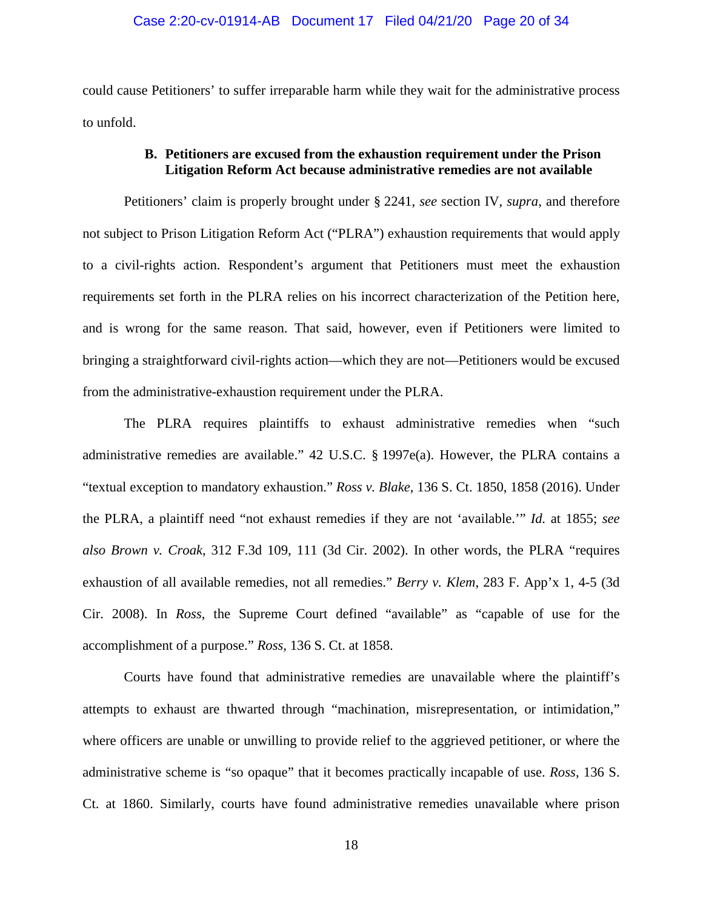#### Case 2:20-cv-01914-AB Document 17 Filed 04/21/20 Page 20 of 34

could cause Petitioners' to suffer irreparable harm while they wait for the administrative process to unfold.

# **B. Petitioners are excused from the exhaustion requirement under the Prison Litigation Reform Act because administrative remedies are not available**

Petitioners' claim is properly brought under § 2241, *see* section IV, *supra*, and therefore not subject to Prison Litigation Reform Act ("PLRA") exhaustion requirements that would apply to a civil-rights action. Respondent's argument that Petitioners must meet the exhaustion requirements set forth in the PLRA relies on his incorrect characterization of the Petition here, and is wrong for the same reason. That said, however, even if Petitioners were limited to bringing a straightforward civil-rights action—which they are not—Petitioners would be excused from the administrative-exhaustion requirement under the PLRA.

The PLRA requires plaintiffs to exhaust administrative remedies when "such administrative remedies are available." 42 U.S.C. § 1997e(a). However, the PLRA contains a "textual exception to mandatory exhaustion." *Ross v. Blake*, 136 S. Ct. 1850, 1858 (2016). Under the PLRA, a plaintiff need "not exhaust remedies if they are not 'available.'" *Id.* at 1855; *see also Brown v. Croak*, 312 F.3d 109, 111 (3d Cir. 2002). In other words, the PLRA "requires exhaustion of all available remedies, not all remedies." *Berry v. Klem*, 283 F. App'x 1, 4-5 (3d Cir. 2008). In *Ross*, the Supreme Court defined "available" as "capable of use for the accomplishment of a purpose." *Ross,* 136 S. Ct. at 1858.

Courts have found that administrative remedies are unavailable where the plaintiff's attempts to exhaust are thwarted through "machination, misrepresentation, or intimidation," where officers are unable or unwilling to provide relief to the aggrieved petitioner, or where the administrative scheme is "so opaque" that it becomes practically incapable of use. *Ross*, 136 S. Ct. at 1860. Similarly, courts have found administrative remedies unavailable where prison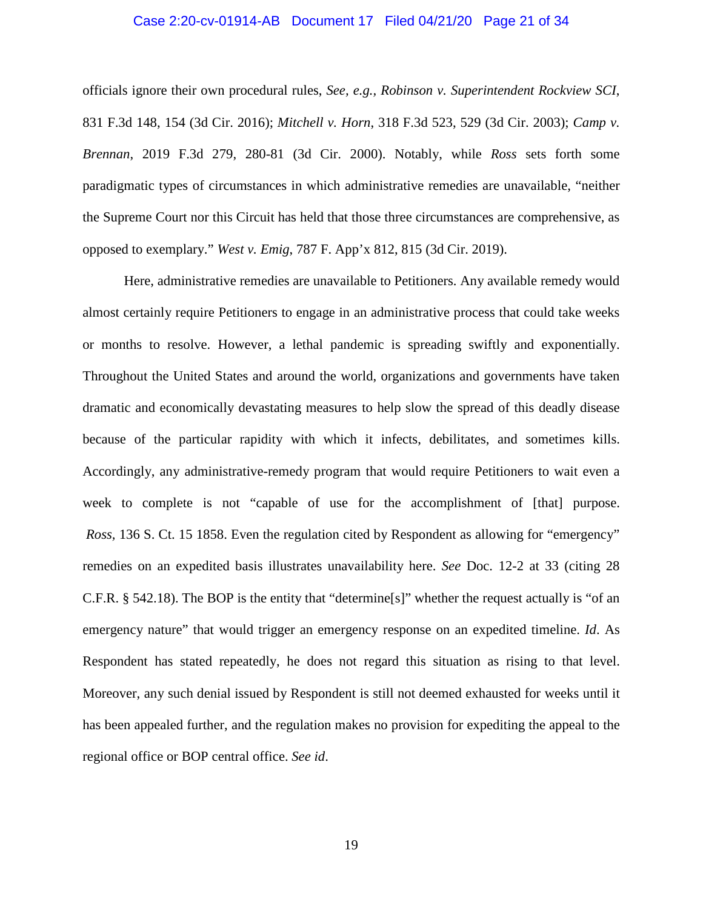#### Case 2:20-cv-01914-AB Document 17 Filed 04/21/20 Page 21 of 34

officials ignore their own procedural rules, *See, e.g., Robinson v. Superintendent Rockview SCI*, 831 F.3d 148, 154 (3d Cir. 2016); *Mitchell v. Horn*, 318 F.3d 523, 529 (3d Cir. 2003); *Camp v. Brennan*, 2019 F.3d 279, 280-81 (3d Cir. 2000). Notably, while *Ross* sets forth some paradigmatic types of circumstances in which administrative remedies are unavailable, "neither the Supreme Court nor this Circuit has held that those three circumstances are comprehensive, as opposed to exemplary." *West v. Emig*, 787 F. App'x 812, 815 (3d Cir. 2019).

Here, administrative remedies are unavailable to Petitioners. Any available remedy would almost certainly require Petitioners to engage in an administrative process that could take weeks or months to resolve. However, a lethal pandemic is spreading swiftly and exponentially. Throughout the United States and around the world, organizations and governments have taken dramatic and economically devastating measures to help slow the spread of this deadly disease because of the particular rapidity with which it infects, debilitates, and sometimes kills. Accordingly, any administrative-remedy program that would require Petitioners to wait even a week to complete is not "capable of use for the accomplishment of [that] purpose. *Ross,* 136 S. Ct. 15 1858. Even the regulation cited by Respondent as allowing for "emergency" remedies on an expedited basis illustrates unavailability here. *See* Doc. 12-2 at 33 (citing 28 C.F.R. § 542.18). The BOP is the entity that "determine[s]" whether the request actually is "of an emergency nature" that would trigger an emergency response on an expedited timeline. *Id*. As Respondent has stated repeatedly, he does not regard this situation as rising to that level. Moreover, any such denial issued by Respondent is still not deemed exhausted for weeks until it has been appealed further, and the regulation makes no provision for expediting the appeal to the regional office or BOP central office. *See id*.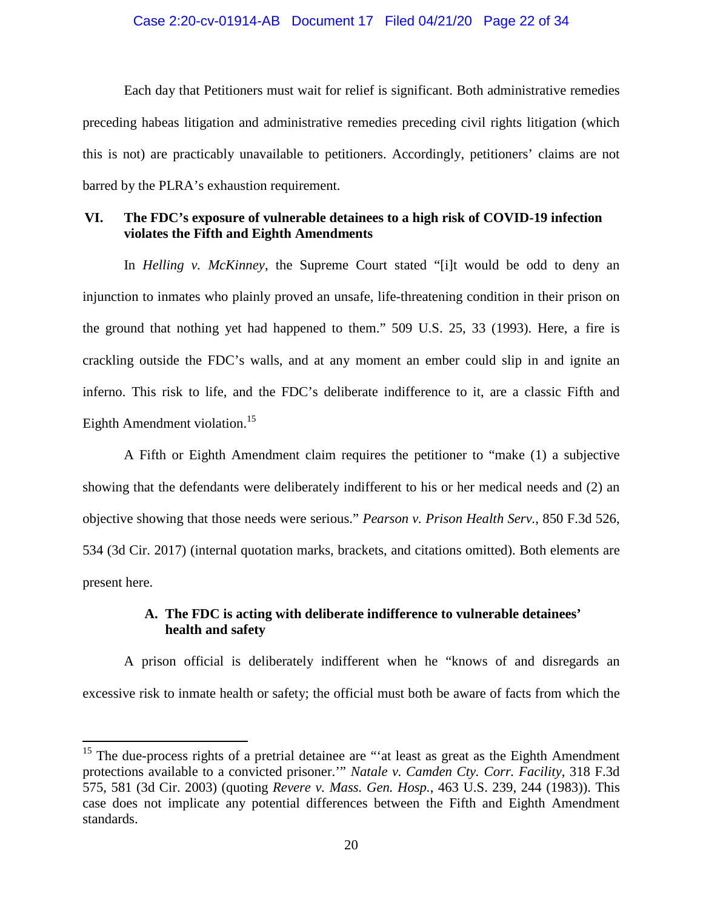#### Case 2:20-cv-01914-AB Document 17 Filed 04/21/20 Page 22 of 34

Each day that Petitioners must wait for relief is significant. Both administrative remedies preceding habeas litigation and administrative remedies preceding civil rights litigation (which this is not) are practicably unavailable to petitioners. Accordingly, petitioners' claims are not barred by the PLRA's exhaustion requirement.

# **VI. The FDC's exposure of vulnerable detainees to a high risk of COVID-19 infection violates the Fifth and Eighth Amendments**

In *Helling v. McKinney*, the Supreme Court stated "[i]t would be odd to deny an injunction to inmates who plainly proved an unsafe, life-threatening condition in their prison on the ground that nothing yet had happened to them." 509 U.S. 25, 33 (1993). Here, a fire is crackling outside the FDC's walls, and at any moment an ember could slip in and ignite an inferno. This risk to life, and the FDC's deliberate indifference to it, are a classic Fifth and Eighth Amendment violation.<sup>15</sup>

A Fifth or Eighth Amendment claim requires the petitioner to "make (1) a subjective showing that the defendants were deliberately indifferent to his or her medical needs and (2) an objective showing that those needs were serious." *Pearson v. Prison Health Serv.*, 850 F.3d 526, 534 (3d Cir. 2017) (internal quotation marks, brackets, and citations omitted). Both elements are present here.

# **A. The FDC is acting with deliberate indifference to vulnerable detainees' health and safety**

A prison official is deliberately indifferent when he "knows of and disregards an excessive risk to inmate health or safety; the official must both be aware of facts from which the

 $15$  The due-process rights of a pretrial detainee are "'at least as great as the Eighth Amendment protections available to a convicted prisoner.'" *Natale v. Camden Cty. Corr. Facility*, 318 F.3d 575, 581 (3d Cir. 2003) (quoting *Revere v. Mass. Gen. Hosp.*, 463 U.S. 239, 244 (1983)). This case does not implicate any potential differences between the Fifth and Eighth Amendment standards.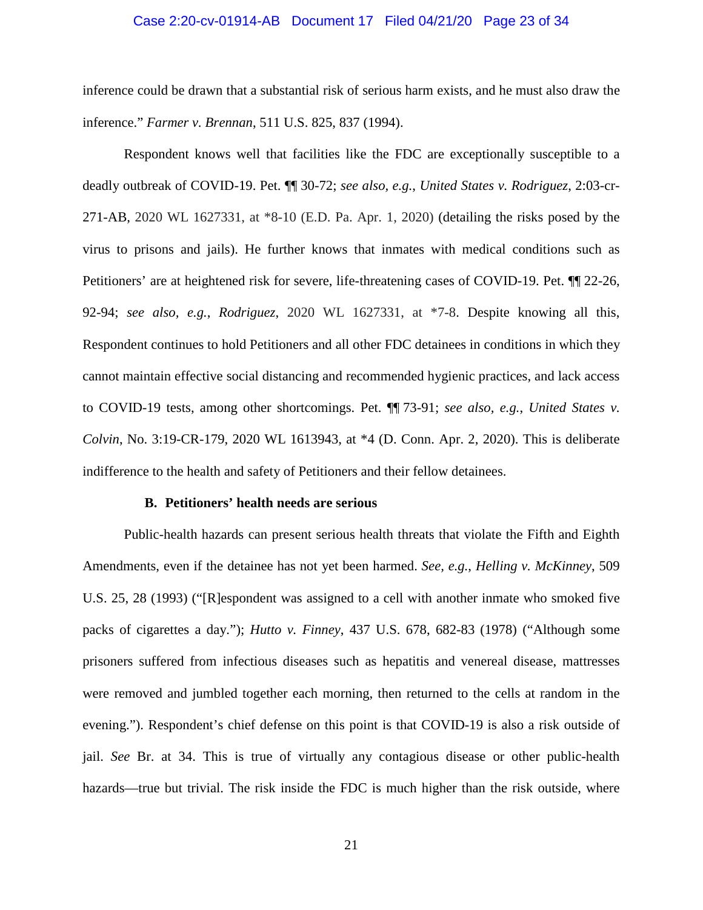#### Case 2:20-cv-01914-AB Document 17 Filed 04/21/20 Page 23 of 34

inference could be drawn that a substantial risk of serious harm exists, and he must also draw the inference." *Farmer v. Brennan*, 511 U.S. 825, 837 (1994).

Respondent knows well that facilities like the FDC are exceptionally susceptible to a deadly outbreak of COVID-19. Pet. ¶¶ 30-72; *see also, e.g.*, *United States v. Rodriguez*, 2:03-cr-271-AB, 2020 WL 1627331, at \*8-10 (E.D. Pa. Apr. 1, 2020) (detailing the risks posed by the virus to prisons and jails). He further knows that inmates with medical conditions such as Petitioners' are at heightened risk for severe, life-threatening cases of COVID-19. Pet. ¶¶ 22-26, 92-94; *see also, e.g.*, *Rodriguez*, 2020 WL 1627331, at \*7-8. Despite knowing all this, Respondent continues to hold Petitioners and all other FDC detainees in conditions in which they cannot maintain effective social distancing and recommended hygienic practices, and lack access to COVID-19 tests, among other shortcomings. Pet. ¶¶ 73-91; *see also, e.g.*, *United States v. Colvin*, No. 3:19-CR-179, 2020 WL 1613943, at \*4 (D. Conn. Apr. 2, 2020). This is deliberate indifference to the health and safety of Petitioners and their fellow detainees.

#### **B. Petitioners' health needs are serious**

Public-health hazards can present serious health threats that violate the Fifth and Eighth Amendments, even if the detainee has not yet been harmed. *See, e.g.*, *Helling v. McKinney*, 509 U.S. 25, 28 (1993) ("[R]espondent was assigned to a cell with another inmate who smoked five packs of cigarettes a day."); *Hutto v. Finney*, 437 U.S. 678, 682-83 (1978) ("Although some prisoners suffered from infectious diseases such as hepatitis and venereal disease, mattresses were removed and jumbled together each morning, then returned to the cells at random in the evening."). Respondent's chief defense on this point is that COVID-19 is also a risk outside of jail. *See* Br. at 34. This is true of virtually any contagious disease or other public-health hazards—true but trivial. The risk inside the FDC is much higher than the risk outside, where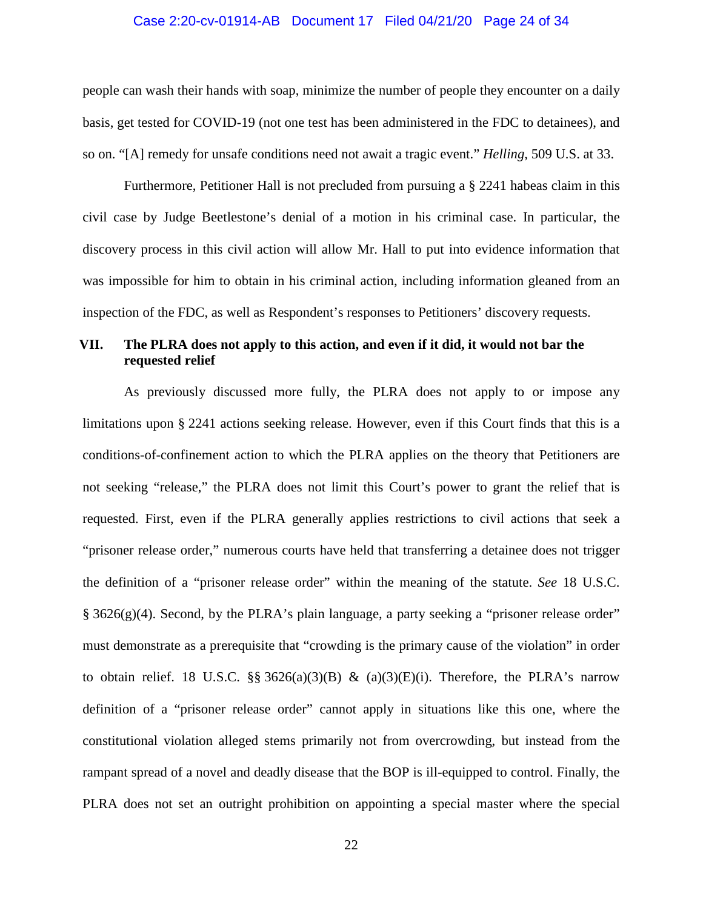#### Case 2:20-cv-01914-AB Document 17 Filed 04/21/20 Page 24 of 34

people can wash their hands with soap, minimize the number of people they encounter on a daily basis, get tested for COVID-19 (not one test has been administered in the FDC to detainees), and so on. "[A] remedy for unsafe conditions need not await a tragic event." *Helling*, 509 U.S. at 33.

Furthermore, Petitioner Hall is not precluded from pursuing a § 2241 habeas claim in this civil case by Judge Beetlestone's denial of a motion in his criminal case. In particular, the discovery process in this civil action will allow Mr. Hall to put into evidence information that was impossible for him to obtain in his criminal action, including information gleaned from an inspection of the FDC, as well as Respondent's responses to Petitioners' discovery requests.

# **VII. The PLRA does not apply to this action, and even if it did, it would not bar the requested relief**

As previously discussed more fully, the PLRA does not apply to or impose any limitations upon § 2241 actions seeking release. However, even if this Court finds that this is a conditions-of-confinement action to which the PLRA applies on the theory that Petitioners are not seeking "release," the PLRA does not limit this Court's power to grant the relief that is requested. First, even if the PLRA generally applies restrictions to civil actions that seek a "prisoner release order," numerous courts have held that transferring a detainee does not trigger the definition of a "prisoner release order" within the meaning of the statute. *See* 18 U.S.C.  $§$  3626(g)(4). Second, by the PLRA's plain language, a party seeking a "prisoner release order" must demonstrate as a prerequisite that "crowding is the primary cause of the violation" in order to obtain relief. 18 U.S.C. §§ 3626(a)(3)(B) & (a)(3)(E)(i). Therefore, the PLRA's narrow definition of a "prisoner release order" cannot apply in situations like this one, where the constitutional violation alleged stems primarily not from overcrowding, but instead from the rampant spread of a novel and deadly disease that the BOP is ill-equipped to control. Finally, the PLRA does not set an outright prohibition on appointing a special master where the special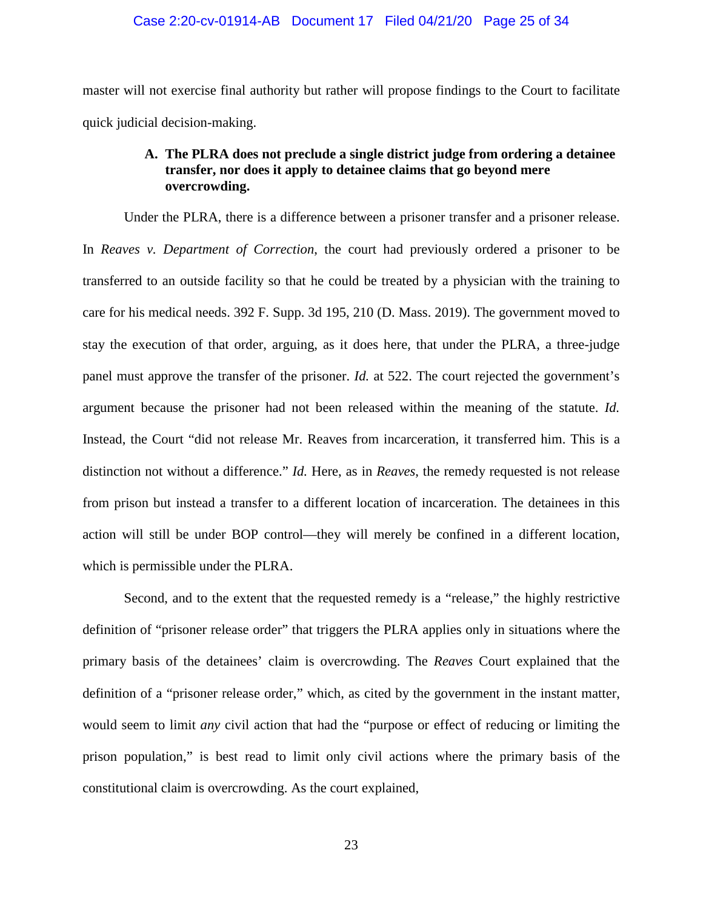#### Case 2:20-cv-01914-AB Document 17 Filed 04/21/20 Page 25 of 34

master will not exercise final authority but rather will propose findings to the Court to facilitate quick judicial decision-making.

# **A. The PLRA does not preclude a single district judge from ordering a detainee transfer, nor does it apply to detainee claims that go beyond mere overcrowding.**

Under the PLRA, there is a difference between a prisoner transfer and a prisoner release. In *Reaves v. Department of Correction*, the court had previously ordered a prisoner to be transferred to an outside facility so that he could be treated by a physician with the training to care for his medical needs. 392 F. Supp. 3d 195, 210 (D. Mass. 2019). The government moved to stay the execution of that order, arguing, as it does here, that under the PLRA, a three-judge panel must approve the transfer of the prisoner. *Id.* at 522. The court rejected the government's argument because the prisoner had not been released within the meaning of the statute. *Id.* Instead, the Court "did not release Mr. Reaves from incarceration, it transferred him. This is a distinction not without a difference." *Id.* Here, as in *Reaves*, the remedy requested is not release from prison but instead a transfer to a different location of incarceration. The detainees in this action will still be under BOP control—they will merely be confined in a different location, which is permissible under the PLRA.

Second, and to the extent that the requested remedy is a "release," the highly restrictive definition of "prisoner release order" that triggers the PLRA applies only in situations where the primary basis of the detainees' claim is overcrowding. The *Reaves* Court explained that the definition of a "prisoner release order," which, as cited by the government in the instant matter, would seem to limit *any* civil action that had the "purpose or effect of reducing or limiting the prison population," is best read to limit only civil actions where the primary basis of the constitutional claim is overcrowding. As the court explained,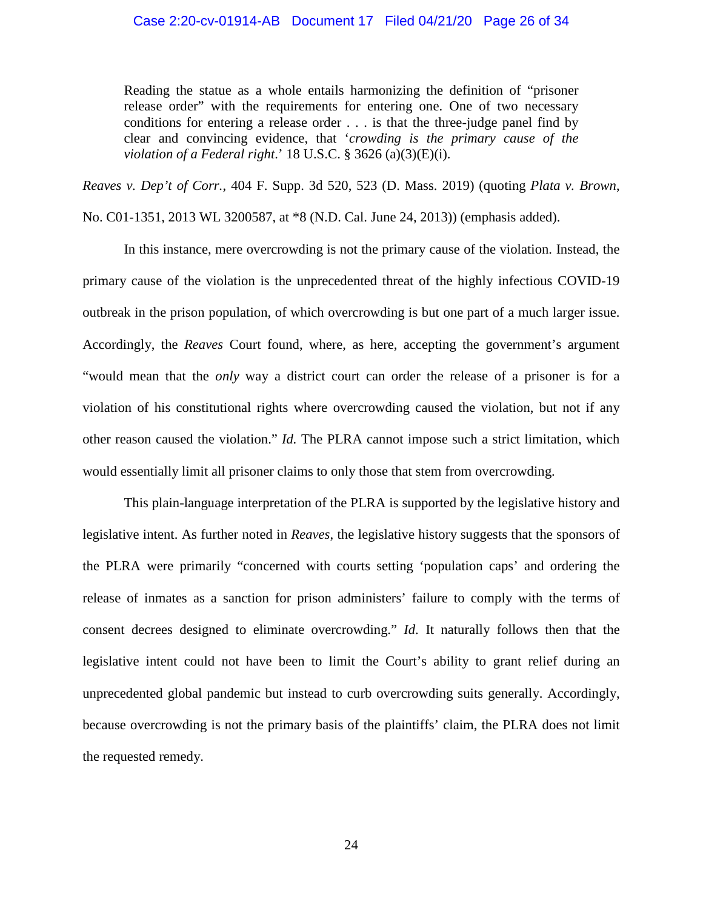Reading the statue as a whole entails harmonizing the definition of "prisoner release order" with the requirements for entering one. One of two necessary conditions for entering a release order . . . is that the three-judge panel find by clear and convincing evidence, that '*crowding is the primary cause of the violation of a Federal right*.' 18 U.S.C. § 3626 (a)(3)(E)(i).

*Reaves v. Dep't of Corr.*, 404 F. Supp. 3d 520, 523 (D. Mass. 2019) (quoting *Plata v. Brown*, No. C01-1351, 2013 WL 3200587, at \*8 (N.D. Cal. June 24, 2013)) (emphasis added).

In this instance, mere overcrowding is not the primary cause of the violation. Instead, the primary cause of the violation is the unprecedented threat of the highly infectious COVID-19 outbreak in the prison population, of which overcrowding is but one part of a much larger issue. Accordingly, the *Reaves* Court found, where, as here, accepting the government's argument "would mean that the *only* way a district court can order the release of a prisoner is for a violation of his constitutional rights where overcrowding caused the violation, but not if any other reason caused the violation." *Id.* The PLRA cannot impose such a strict limitation, which would essentially limit all prisoner claims to only those that stem from overcrowding.

This plain-language interpretation of the PLRA is supported by the legislative history and legislative intent. As further noted in *Reaves*, the legislative history suggests that the sponsors of the PLRA were primarily "concerned with courts setting 'population caps' and ordering the release of inmates as a sanction for prison administers' failure to comply with the terms of consent decrees designed to eliminate overcrowding." *Id*. It naturally follows then that the legislative intent could not have been to limit the Court's ability to grant relief during an unprecedented global pandemic but instead to curb overcrowding suits generally. Accordingly, because overcrowding is not the primary basis of the plaintiffs' claim, the PLRA does not limit the requested remedy.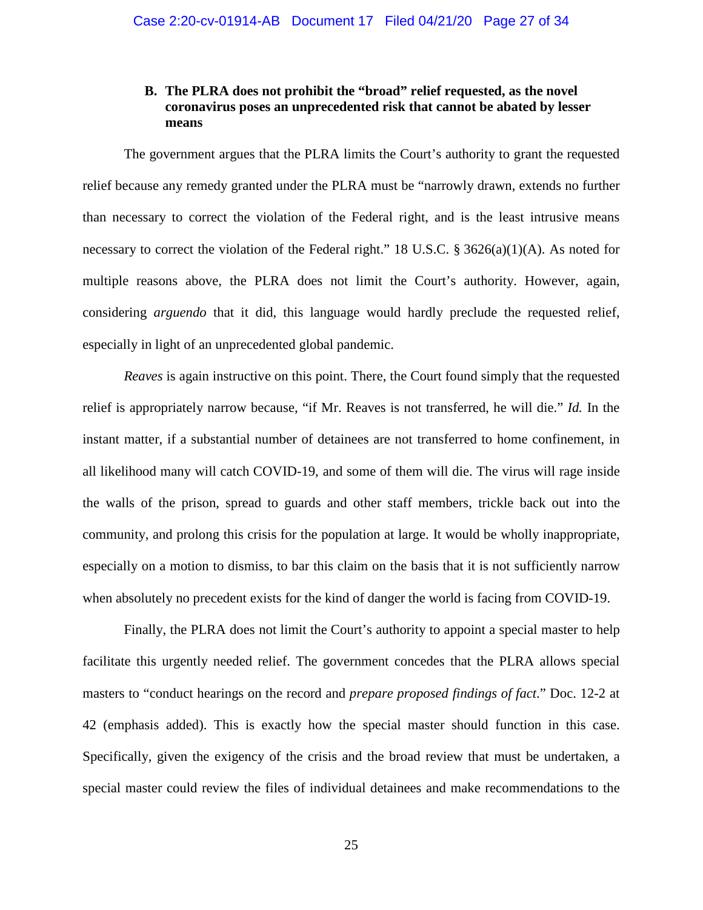# **B. The PLRA does not prohibit the "broad" relief requested, as the novel coronavirus poses an unprecedented risk that cannot be abated by lesser means**

The government argues that the PLRA limits the Court's authority to grant the requested relief because any remedy granted under the PLRA must be "narrowly drawn, extends no further than necessary to correct the violation of the Federal right, and is the least intrusive means necessary to correct the violation of the Federal right." 18 U.S.C. § 3626(a)(1)(A). As noted for multiple reasons above, the PLRA does not limit the Court's authority. However, again, considering *arguendo* that it did, this language would hardly preclude the requested relief, especially in light of an unprecedented global pandemic.

*Reaves* is again instructive on this point. There, the Court found simply that the requested relief is appropriately narrow because, "if Mr. Reaves is not transferred, he will die." *Id.* In the instant matter, if a substantial number of detainees are not transferred to home confinement, in all likelihood many will catch COVID-19, and some of them will die. The virus will rage inside the walls of the prison, spread to guards and other staff members, trickle back out into the community, and prolong this crisis for the population at large. It would be wholly inappropriate, especially on a motion to dismiss, to bar this claim on the basis that it is not sufficiently narrow when absolutely no precedent exists for the kind of danger the world is facing from COVID-19.

Finally, the PLRA does not limit the Court's authority to appoint a special master to help facilitate this urgently needed relief. The government concedes that the PLRA allows special masters to "conduct hearings on the record and *prepare proposed findings of fact*." Doc. 12-2 at 42 (emphasis added). This is exactly how the special master should function in this case. Specifically, given the exigency of the crisis and the broad review that must be undertaken, a special master could review the files of individual detainees and make recommendations to the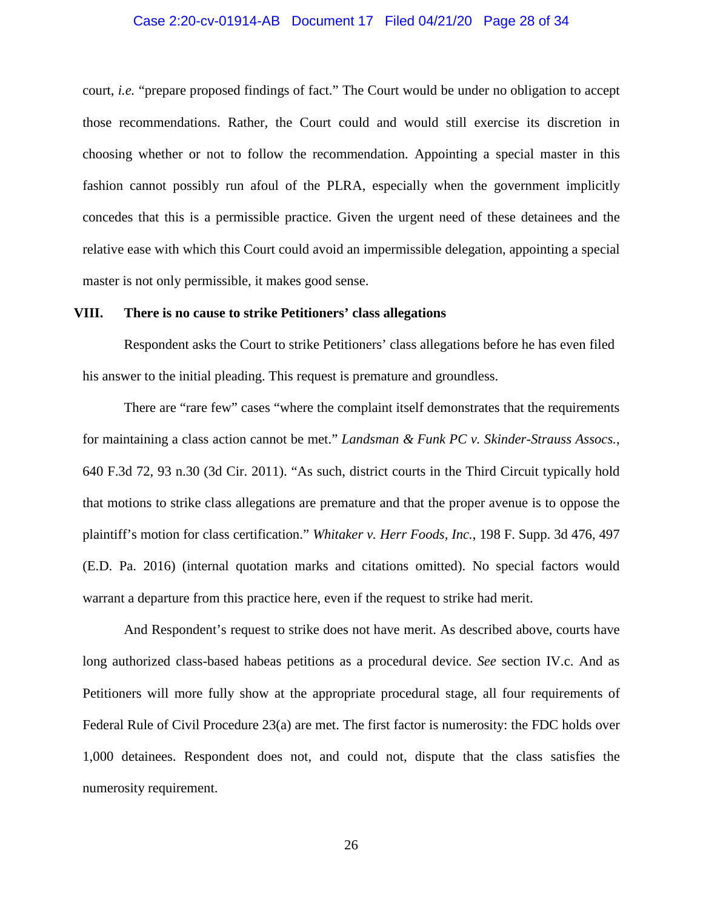#### Case 2:20-cv-01914-AB Document 17 Filed 04/21/20 Page 28 of 34

court, *i.e.* "prepare proposed findings of fact." The Court would be under no obligation to accept those recommendations. Rather, the Court could and would still exercise its discretion in choosing whether or not to follow the recommendation. Appointing a special master in this fashion cannot possibly run afoul of the PLRA, especially when the government implicitly concedes that this is a permissible practice. Given the urgent need of these detainees and the relative ease with which this Court could avoid an impermissible delegation, appointing a special master is not only permissible, it makes good sense.

#### **VIII. There is no cause to strike Petitioners' class allegations**

Respondent asks the Court to strike Petitioners' class allegations before he has even filed his answer to the initial pleading. This request is premature and groundless.

There are "rare few" cases "where the complaint itself demonstrates that the requirements for maintaining a class action cannot be met." *Landsman & Funk PC v. Skinder-Strauss Assocs.*, 640 F.3d 72, 93 n.30 (3d Cir. 2011). "As such, district courts in the Third Circuit typically hold that motions to strike class allegations are premature and that the proper avenue is to oppose the plaintiff's motion for class certification." *Whitaker v. Herr Foods, Inc.*, 198 F. Supp. 3d 476, 497 (E.D. Pa. 2016) (internal quotation marks and citations omitted). No special factors would warrant a departure from this practice here, even if the request to strike had merit.

And Respondent's request to strike does not have merit. As described above, courts have long authorized class-based habeas petitions as a procedural device. *See* section IV.c. And as Petitioners will more fully show at the appropriate procedural stage, all four requirements of Federal Rule of Civil Procedure 23(a) are met. The first factor is numerosity: the FDC holds over 1,000 detainees. Respondent does not, and could not, dispute that the class satisfies the numerosity requirement.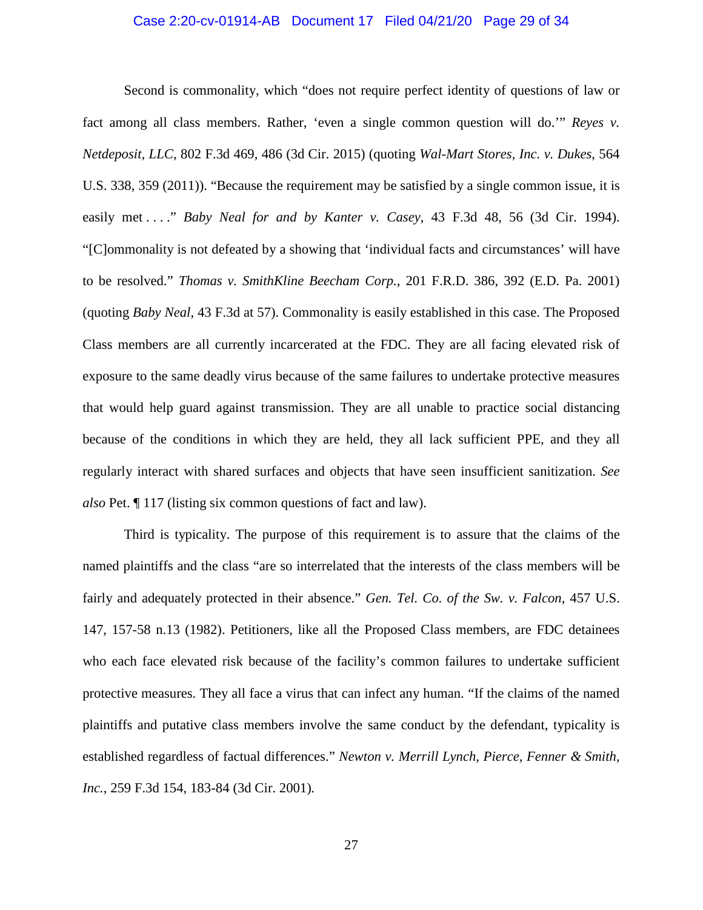#### Case 2:20-cv-01914-AB Document 17 Filed 04/21/20 Page 29 of 34

Second is commonality, which "does not require perfect identity of questions of law or fact among all class members. Rather, 'even a single common question will do.'" *Reyes v. Netdeposit, LLC*, 802 F.3d 469, 486 (3d Cir. 2015) (quoting *Wal-Mart Stores, Inc. v. Dukes*, 564 U.S. 338, 359 (2011)). "Because the requirement may be satisfied by a single common issue, it is easily met . . . ." *Baby Neal for and by Kanter v. Casey*, 43 F.3d 48, 56 (3d Cir. 1994). "[C]ommonality is not defeated by a showing that 'individual facts and circumstances' will have to be resolved." *Thomas v. SmithKline Beecham Corp.*, 201 F.R.D. 386, 392 (E.D. Pa. 2001) (quoting *Baby Neal*, 43 F.3d at 57). Commonality is easily established in this case. The Proposed Class members are all currently incarcerated at the FDC. They are all facing elevated risk of exposure to the same deadly virus because of the same failures to undertake protective measures that would help guard against transmission. They are all unable to practice social distancing because of the conditions in which they are held, they all lack sufficient PPE, and they all regularly interact with shared surfaces and objects that have seen insufficient sanitization. *See also* Pet. ¶ 117 (listing six common questions of fact and law).

Third is typicality. The purpose of this requirement is to assure that the claims of the named plaintiffs and the class "are so interrelated that the interests of the class members will be fairly and adequately protected in their absence." *Gen. Tel. Co. of the Sw. v. Falcon*, 457 U.S. 147, 157-58 n.13 (1982). Petitioners, like all the Proposed Class members, are FDC detainees who each face elevated risk because of the facility's common failures to undertake sufficient protective measures. They all face a virus that can infect any human. "If the claims of the named plaintiffs and putative class members involve the same conduct by the defendant, typicality is established regardless of factual differences." *Newton v. Merrill Lynch, Pierce, Fenner & Smith, Inc.*, 259 F.3d 154, 183-84 (3d Cir. 2001)*.*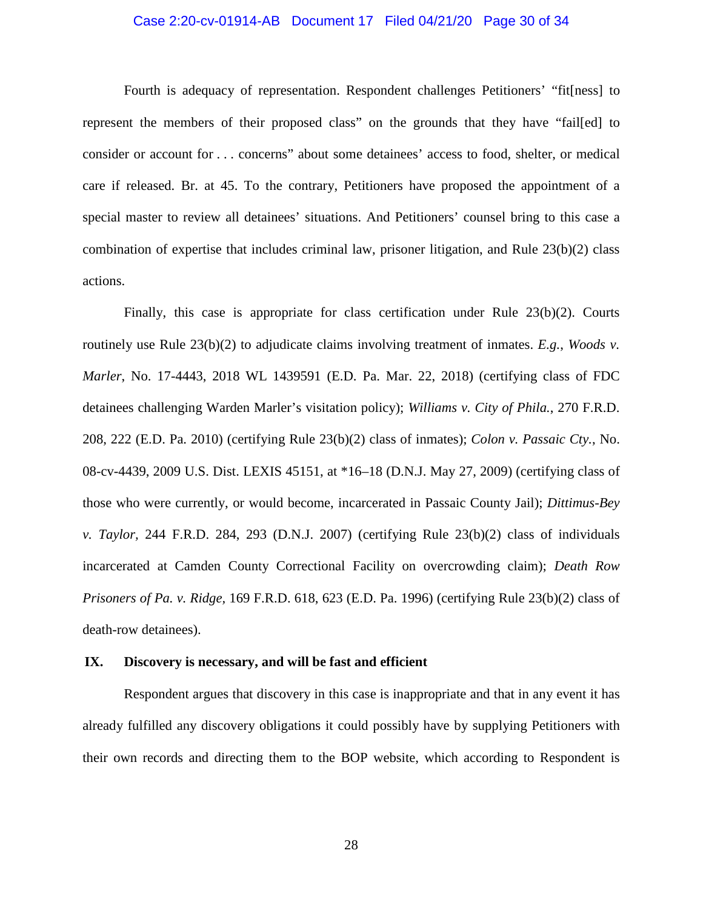#### Case 2:20-cv-01914-AB Document 17 Filed 04/21/20 Page 30 of 34

Fourth is adequacy of representation. Respondent challenges Petitioners' "fit[ness] to represent the members of their proposed class" on the grounds that they have "fail[ed] to consider or account for . . . concerns" about some detainees' access to food, shelter, or medical care if released. Br. at 45. To the contrary, Petitioners have proposed the appointment of a special master to review all detainees' situations. And Petitioners' counsel bring to this case a combination of expertise that includes criminal law, prisoner litigation, and Rule 23(b)(2) class actions.

Finally, this case is appropriate for class certification under Rule 23(b)(2). Courts routinely use Rule 23(b)(2) to adjudicate claims involving treatment of inmates. *E.g.*, *Woods v. Marler*, No. 17-4443, 2018 WL 1439591 (E.D. Pa. Mar. 22, 2018) (certifying class of FDC detainees challenging Warden Marler's visitation policy); *Williams v. City of Phila.*, 270 F.R.D. 208, 222 (E.D. Pa. 2010) (certifying Rule 23(b)(2) class of inmates); *Colon v. Passaic Cty.*, No. 08-cv-4439, 2009 U.S. Dist. LEXIS 45151, at \*16–18 (D.N.J. May 27, 2009) (certifying class of those who were currently, or would become, incarcerated in Passaic County Jail); *Dittimus-Bey v. Taylor,* 244 F.R.D. 284, 293 (D.N.J. 2007) (certifying Rule 23(b)(2) class of individuals incarcerated at Camden County Correctional Facility on overcrowding claim); *Death Row Prisoners of Pa. v. Ridge,* 169 F.R.D. 618, 623 (E.D. Pa. 1996) (certifying Rule 23(b)(2) class of death-row detainees).

#### **IX. Discovery is necessary, and will be fast and efficient**

Respondent argues that discovery in this case is inappropriate and that in any event it has already fulfilled any discovery obligations it could possibly have by supplying Petitioners with their own records and directing them to the BOP website, which according to Respondent is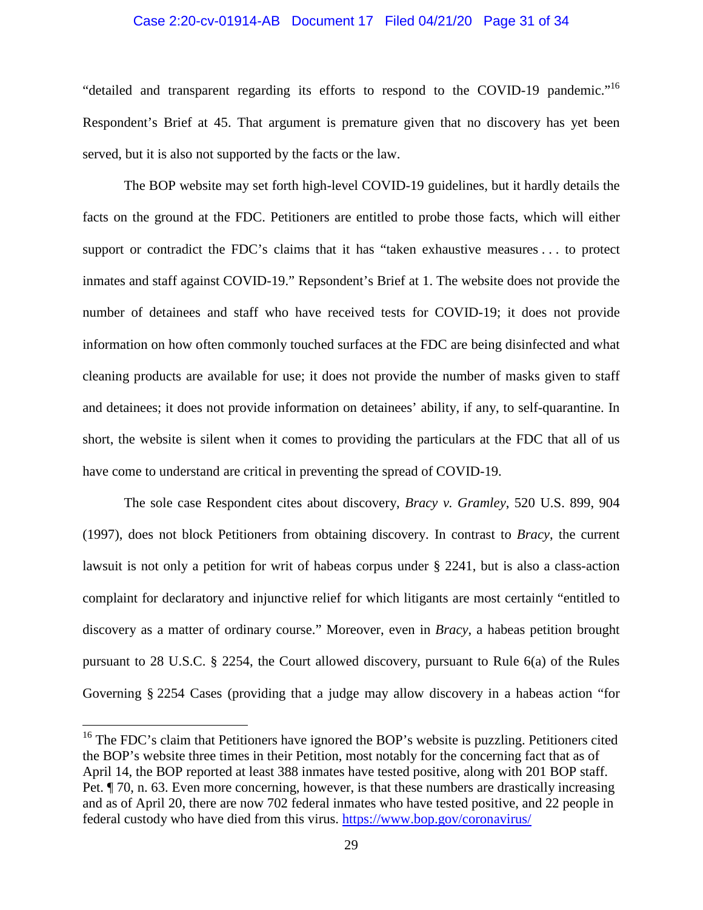#### Case 2:20-cv-01914-AB Document 17 Filed 04/21/20 Page 31 of 34

"detailed and transparent regarding its efforts to respond to the COVID-19 pandemic."<sup>16</sup> Respondent's Brief at 45. That argument is premature given that no discovery has yet been served, but it is also not supported by the facts or the law.

The BOP website may set forth high-level COVID-19 guidelines, but it hardly details the facts on the ground at the FDC. Petitioners are entitled to probe those facts, which will either support or contradict the FDC's claims that it has "taken exhaustive measures . . . to protect inmates and staff against COVID-19." Repsondent's Brief at 1. The website does not provide the number of detainees and staff who have received tests for COVID-19; it does not provide information on how often commonly touched surfaces at the FDC are being disinfected and what cleaning products are available for use; it does not provide the number of masks given to staff and detainees; it does not provide information on detainees' ability, if any, to self-quarantine. In short, the website is silent when it comes to providing the particulars at the FDC that all of us have come to understand are critical in preventing the spread of COVID-19.

The sole case Respondent cites about discovery, *Bracy v. Gramley*, 520 U.S. 899, 904 (1997), does not block Petitioners from obtaining discovery. In contrast to *Bracy*, the current lawsuit is not only a petition for writ of habeas corpus under § 2241, but is also a class-action complaint for declaratory and injunctive relief for which litigants are most certainly "entitled to discovery as a matter of ordinary course." Moreover, even in *Bracy*, a habeas petition brought pursuant to 28 U.S.C. § 2254, the Court allowed discovery, pursuant to Rule 6(a) of the Rules Governing § 2254 Cases (providing that a judge may allow discovery in a habeas action "for

 $16$  The FDC's claim that Petitioners have ignored the BOP's website is puzzling. Petitioners cited the BOP's website three times in their Petition, most notably for the concerning fact that as of April 14, the BOP reported at least 388 inmates have tested positive, along with 201 BOP staff. Pet. ¶ 70, n. 63. Even more concerning, however, is that these numbers are drastically increasing and as of April 20, there are now 702 federal inmates who have tested positive, and 22 people in federal custody who have died from this virus. https://www.bop.gov/coronavirus/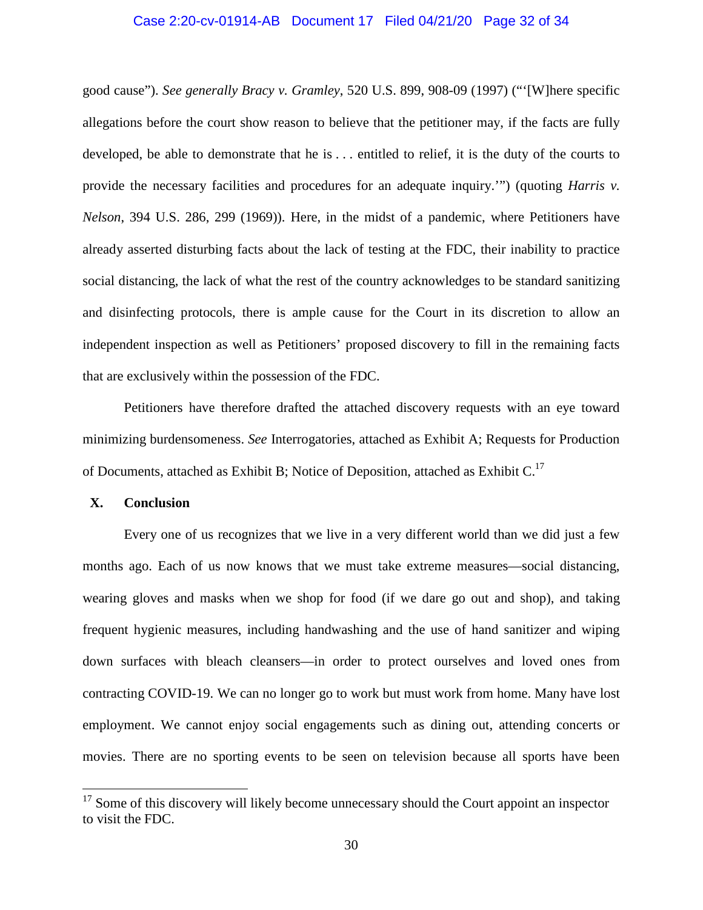#### Case 2:20-cv-01914-AB Document 17 Filed 04/21/20 Page 32 of 34

good cause"). *See generally Bracy v. Gramley*, 520 U.S. 899, 908-09 (1997) ("'[W]here specific allegations before the court show reason to believe that the petitioner may, if the facts are fully developed, be able to demonstrate that he is . . . entitled to relief, it is the duty of the courts to provide the necessary facilities and procedures for an adequate inquiry.'") (quoting *Harris v. Nelson*, 394 U.S. 286, 299 (1969)). Here, in the midst of a pandemic, where Petitioners have already asserted disturbing facts about the lack of testing at the FDC, their inability to practice social distancing, the lack of what the rest of the country acknowledges to be standard sanitizing and disinfecting protocols, there is ample cause for the Court in its discretion to allow an independent inspection as well as Petitioners' proposed discovery to fill in the remaining facts that are exclusively within the possession of the FDC.

Petitioners have therefore drafted the attached discovery requests with an eye toward minimizing burdensomeness. *See* Interrogatories, attached as Exhibit A; Requests for Production of Documents, attached as Exhibit B; Notice of Deposition, attached as Exhibit  $C<sup>17</sup>$ 

### **X. Conclusion**

Every one of us recognizes that we live in a very different world than we did just a few months ago. Each of us now knows that we must take extreme measures—social distancing, wearing gloves and masks when we shop for food (if we dare go out and shop), and taking frequent hygienic measures, including handwashing and the use of hand sanitizer and wiping down surfaces with bleach cleansers—in order to protect ourselves and loved ones from contracting COVID-19. We can no longer go to work but must work from home. Many have lost employment. We cannot enjoy social engagements such as dining out, attending concerts or movies. There are no sporting events to be seen on television because all sports have been

 $17$  Some of this discovery will likely become unnecessary should the Court appoint an inspector to visit the FDC.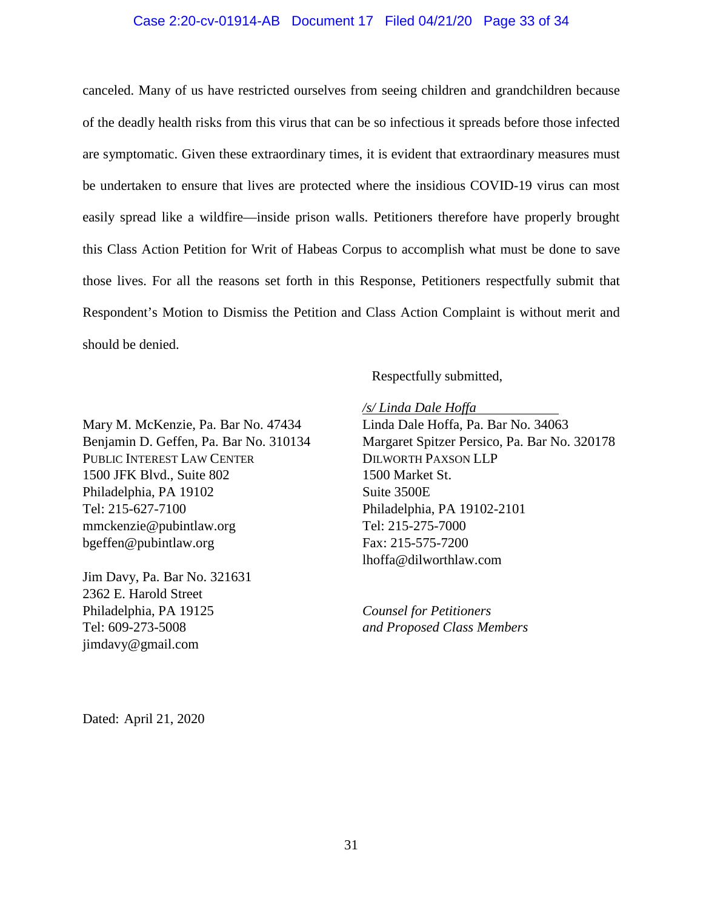#### Case 2:20-cv-01914-AB Document 17 Filed 04/21/20 Page 33 of 34

canceled. Many of us have restricted ourselves from seeing children and grandchildren because of the deadly health risks from this virus that can be so infectious it spreads before those infected are symptomatic. Given these extraordinary times, it is evident that extraordinary measures must be undertaken to ensure that lives are protected where the insidious COVID-19 virus can most easily spread like a wildfire—inside prison walls. Petitioners therefore have properly brought this Class Action Petition for Writ of Habeas Corpus to accomplish what must be done to save those lives. For all the reasons set forth in this Response, Petitioners respectfully submit that Respondent's Motion to Dismiss the Petition and Class Action Complaint is without merit and should be denied.

Respectfully submitted,

Mary M. McKenzie, Pa. Bar No. 47434 Benjamin D. Geffen, Pa. Bar No. 310134 PUBLIC INTEREST LAW CENTER 1500 JFK Blvd., Suite 802 Philadelphia, PA 19102 Tel: 215-627-7100 mmckenzie@pubintlaw.org bgeffen@pubintlaw.org

Jim Davy, Pa. Bar No. 321631 2362 E. Harold Street Philadelphia, PA 19125 Tel: 609-273-5008 jimdavy@gmail.com

*/s/ Linda Dale Hoffa* 

Linda Dale Hoffa, Pa. Bar No. 34063 Margaret Spitzer Persico, Pa. Bar No. 320178 DILWORTH PAXSON LLP 1500 Market St. Suite 3500E Philadelphia, PA 19102-2101 Tel: 215-275-7000 Fax: 215-575-7200 lhoffa@dilworthlaw.com

*Counsel for Petitioners and Proposed Class Members*

Dated: April 21, 2020